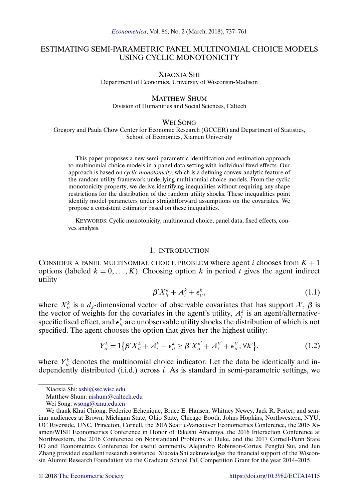# <span id="page-0-0"></span>ESTIMATING SEMI-PARAMETRIC PANEL MULTINOMIAL CHOICE MODELS USING CYCLIC MONOTONICITY

XIAOXIA SHI Department of Economics, University of Wisconsin-Madison

# MATTHEW SHUM

Division of Humanities and Social Sciences, Caltech

## WEI SONG

Gregory and Paula Chow Center for Economic Research (GCCER) and Department of Statistics, School of Economics, Xiamen University

This paper proposes a new semi-parametric identification and estimation approach to multinomial choice models in a panel data setting with individual fixed effects. Our approach is based on *cyclic monotonicity*, which is a defining convex-analytic feature of the random utility framework underlying multinomial choice models. From the cyclic monotonicity property, we derive identifying inequalities without requiring any shape restrictions for the distribution of the random utility shocks. These inequalities point identify model parameters under straightforward assumptions on the covariates. We propose a consistent estimator based on these inequalities.

KEYWORDS: Cyclic monotonicity, multinomial choice, panel data, fixed effects, convex analysis.

## 1. INTRODUCTION

CONSIDER A PANEL MULTINOMIAL CHOICE PROBLEM where agent i chooses from  $K + 1$ options (labeled  $k = 0, ..., K$ ). Choosing option k in period t gives the agent indirect utility

$$
\beta' X_{it}^k + A_i^k + \epsilon_{it}^k, \tag{1.1}
$$

where  $X_{it}^k$  is a  $d_x$ -dimensional vector of observable covariates that has support  $\mathcal{X}, \beta$  is the vector of weights for the covariates in the agent's utility,  $A_i^k$  is an agent/alternativespecific fixed effect, and  $\epsilon_{it}^k$  are unobservable utility shocks the distribution of which is not specified. The agent chooses the option that gives her the highest utility:

$$
Y_{it}^{k} = 1\{\beta'X_{it}^{k} + A_{i}^{k} + \epsilon_{it}^{k} \ge \beta'X_{it}^{k'} + A_{i}^{k'} + \epsilon_{it}^{k'}; \forall k'\},
$$
\n(1.2)

where  $Y_{it}^k$  denotes the multinomial choice indicator. Let the data be identically and independently distributed (i.i.d.) across i. As is standard in semi-parametric settings, we

Xiaoxia Shi: [xshi@ssc.wisc.edu](mailto:xshi@ssc.wisc.edu)

Matthew Shum: [mshum@caltech.edu](mailto:mshum@caltech.edu)

Wei Song: [wsong@xmu.edu.cn](mailto:wsong@xmu.edu.cn)

We thank Khai Chiong, Federico Echenique, Bruce E. Hansen, Whitney Newey, Jack R. Porter, and seminar audiences at Brown, Michigan State, Ohio State, Chicago Booth, Johns Hopkins, Northwestern, NYU, UC Riverside, UNC, Princeton, Cornell, the 2016 Seattle-Vancouver Econometrics Conference, the 2015 Xiamen/WISE Econometrics Conference in Honor of Takeshi Amemiya, the 2016 Interaction Conference at Northwestern, the 2016 Conference on Nonstandard Problems at Duke, and the 2017 Cornell-Penn State IO and Econometrics Conference for useful comments. Alejandro Robinson-Cortes, Pengfei Sui, and Jun Zhang provided excellent research assistance. Xiaoxia Shi acknowledges the financial support of the Wisconsin Alumni Research Foundation via the Graduate School Fall Competition Grant for the year 2014–2015.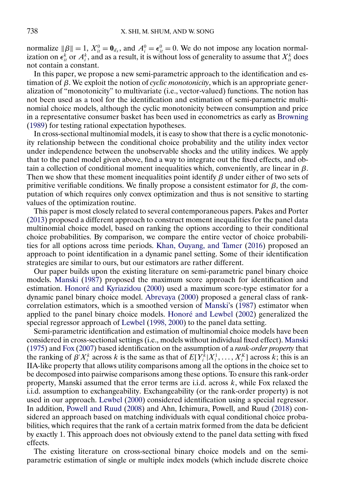<span id="page-1-0"></span>normalize  $\|\beta\| = 1$ ,  $X_{it}^0 = \mathbf{0}_{d_x}$ , and  $A_i^0 = \epsilon_{it}^0 = 0$ . We do not impose any location normalization on  $\epsilon_{it}^k$  or  $A_i^k$ , and as a result, it is without loss of generality to assume that  $X_{it}^k$  does not contain a constant.

In this paper, we propose a new semi-parametric approach to the identification and estimation of β. We exploit the notion of *cyclic monotonicity*, which is an appropriate generalization of "monotonicity" to multivariate (i.e., vector-valued) functions. The notion has not been used as a tool for the identification and estimation of semi-parametric multinomial choice models, although the cyclic monotonicity between consumption and price in a representative consumer basket has been used in econometrics as early as [Browning](#page-23-0) [\(1989\)](#page-23-0) for testing rational expectation hypotheses.

In cross-sectional multinomial models, it is easy to show that there is a cyclic monotonicity relationship between the conditional choice probability and the utility index vector under independence between the unobservable shocks and the utility indices. We apply that to the panel model given above, find a way to integrate out the fixed effects, and obtain a collection of conditional moment inequalities which, conveniently, are linear in  $\beta$ . Then we show that these moment inequalities point identify  $\beta$  under either of two sets of primitive verifiable conditions. We finally propose a consistent estimator for  $\beta$ , the computation of which requires only convex optimization and thus is not sensitive to starting values of the optimization routine.

This paper is most closely related to several contemporaneous papers. Pakes and Porter [\(2013\)](#page-24-0) proposed a different approach to construct moment inequalities for the panel data multinomial choice model, based on ranking the options according to their conditional choice probabilities. By comparison, we compare the entire vector of choice probabilities for all options across time periods. [Khan, Ouyang, and Tamer](#page-24-0) [\(2016\)](#page-24-0) proposed an approach to point identification in a dynamic panel setting. Some of their identification strategies are similar to ours, but our estimators are rather different.

Our paper builds upon the existing literature on semi-parametric panel binary choice models. [Manski](#page-24-0) [\(1987\)](#page-24-0) proposed the maximum score approach for identification and estimation. [Honoré and Kyriazidou](#page-23-0) [\(2000\)](#page-23-0) used a maximum score-type estimator for a dynamic panel binary choice model. [Abrevaya](#page-23-0) [\(2000\)](#page-23-0) proposed a general class of rankcorrelation estimators, which is a smoothed version of [Manski'](#page-24-0)s [\(1987\)](#page-24-0) estimator when applied to the panel binary choice models. [Honoré and Lewbel](#page-24-0) [\(2002\)](#page-24-0) generalized the special regressor approach of [Lewbel](#page-24-0) [\(1998, 2000\)](#page-24-0) to the panel data setting.

Semi-parametric identification and estimation of multinomial choice models have been considered in cross-sectional settings (i.e., models without individual fixed effect). [Manski](#page-24-0) [\(1975\)](#page-24-0) and [Fox](#page-23-0) [\(2007\)](#page-23-0) based identification on the assumption of a *rank-order property* that the ranking of  $\beta' X_i^k$  across k is the same as that of  $E[Y_i^k | X_i^1, \dots, X_i^k]$  across k; this is an IIA-like property that allows utility comparisons among all the options in the choice set to be decomposed into pairwise comparisons among these options. To ensure this rank-order property, Manski assumed that the error terms are i.i.d. across  $k$ , while Fox relaxed the i.i.d. assumption to exchangeability. Exchangeability (or the rank-order property) is not used in our approach. [Lewbel](#page-24-0) [\(2000\)](#page-24-0) considered identification using a special regressor. In addition, [Powell and Ruud](#page-24-0) [\(2008\)](#page-24-0) and Ahn, Ichimura, Powell, and Ruud [\(2018\)](#page-23-0) considered an approach based on matching individuals with equal conditional choice probabilities, which requires that the rank of a certain matrix formed from the data be deficient by exactly 1. This approach does not obviously extend to the panel data setting with fixed effects.

The existing literature on cross-sectional binary choice models and on the semiparametric estimation of single or multiple index models (which include discrete choice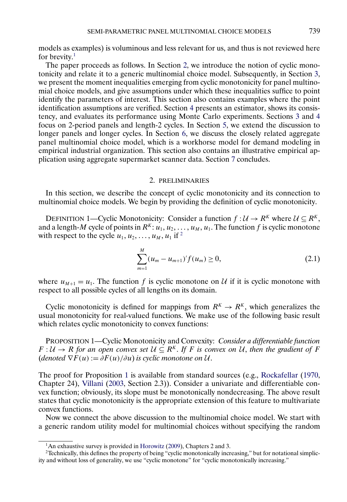<span id="page-2-0"></span>models as examples) is voluminous and less relevant for us, and thus is not reviewed here for brevity.<sup>1</sup>

The paper proceeds as follows. In Section 2, we introduce the notion of cyclic monotonicity and relate it to a generic multinomial choice model. Subsequently, in Section [3,](#page-3-0) we present the moment inequalities emerging from cyclic monotonicity for panel multinomial choice models, and give assumptions under which these inequalities suffice to point identify the parameters of interest. This section also contains examples where the point identification assumptions are verified. Section [4](#page-8-0) presents an estimator, shows its consistency, and evaluates its performance using Monte Carlo experiments. Sections [3](#page-3-0) and [4](#page-8-0) focus on 2-period panels and length-2 cycles. In Section [5,](#page-10-0) we extend the discussion to longer panels and longer cycles. In Section [6,](#page-12-0) we discuss the closely related aggregate panel multinomial choice model, which is a workhorse model for demand modeling in empirical industrial organization. This section also contains an illustrative empirical application using aggregate supermarket scanner data. Section [7](#page-16-0) concludes.

## 2. PRELIMINARIES

In this section, we describe the concept of cyclic monotonicity and its connection to multinomial choice models. We begin by providing the definition of cyclic monotonicity.

DEFINITION 1—Cyclic Monotonicity: Consider a function  $f: U \to R^K$  where  $U \subseteq R^K$ , and a length-M cycle of points in  $R^K: u_1, u_2, \ldots, u_M, u_1$ . The function f is cyclic monotone with respect to the cycle  $u_1, u_2, \ldots, u_M, u_1$  if <sup>2</sup>

$$
\sum_{m=1}^{M} (u_m - u_{m+1})' f(u_m) \ge 0,
$$
\n(2.1)

where  $u_{M+1} = u_1$ . The function f is cyclic monotone on U if it is cyclic monotone with respect to all possible cycles of all lengths on its domain.

Cyclic monotonicity is defined for mappings from  $R^{K} \to R^{K}$ , which generalizes the usual monotonicity for real-valued functions. We make use of the following basic result which relates cyclic monotonicity to convex functions:

PROPOSITION 1—Cyclic Monotonicity and Convexity: *Consider a differentiable function*  $F: U \to R$  for an open convex set  $U \subseteq R^K$ . If F is convex on U, then the gradient of F (*denoted*  $\nabla F(u) := \partial F(u)/\partial u$ ) *is cyclic monotone on* U.

The proof for Proposition 1 is available from standard sources (e.g., [Rockafellar](#page-24-0) [\(1970,](#page-24-0) Chapter 24), [Villani](#page-24-0) [\(2003,](#page-24-0) Section 2.3)). Consider a univariate and differentiable convex function; obviously, its slope must be monotonically nondecreasing. The above result states that cyclic monotonicity is the appropriate extension of this feature to multivariate convex functions.

Now we connect the above discussion to the multinomial choice model. We start with a generic random utility model for multinomial choices without specifying the random

 $1$ An exhaustive survey is provided in [Horowitz](#page-24-0) [\(2009\)](#page-24-0), Chapters 2 and 3.

<sup>2</sup>Technically, this defines the property of being "cyclic monotonically increasing," but for notational simplicity and without loss of generality, we use "cyclic monotone" for "cyclic monotonically increasing."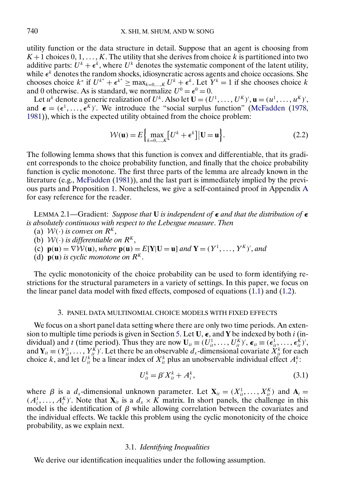<span id="page-3-0"></span>utility function or the data structure in detail. Suppose that an agent is choosing from  $K+1$  choices  $0, 1, \ldots, K$ . The utility that she derives from choice k is partitioned into two additive parts:  $U^k + \epsilon^k$ , where  $U^k$  denotes the systematic component of the latent utility, while  $\epsilon^k$  denotes the random shocks, idiosyncratic across agents and choice occasions. She chooses choice  $k^*$  if  $U^{k^*} + \epsilon^{k^*} \ge \max_{k=0,\dots,K} U^k + \epsilon^k$ . Let  $Y^k = 1$  if she chooses choice k and 0 otherwise. As is standard, we normalize  $U^0 = \epsilon^0 = 0$ .

Let  $u^k$  denote a generic realization of  $U^k$ . Also let  $\mathbf{U} = (U^1, \dots, U^K)'$ ,  $\mathbf{u} = (u^1, \dots, u^K)'$ , and  $\boldsymbol{\epsilon} = (\epsilon^1, \dots, \epsilon^K)'$ . We introduce the "social surplus function" [\(McFadden](#page-24-0) [\(1978,](#page-24-0) [1981\)](#page-24-0)), which is the expected utility obtained from the choice problem:

$$
\mathcal{W}(\mathbf{u}) = E\Big\{\max_{k=0,\dots,K} \big[U^k + \epsilon^k\big] | \mathbf{U} = \mathbf{u}\Big\}.
$$
 (2.2)

The following lemma shows that this function is convex and differentiable, that its gradient corresponds to the choice probability function, and finally that the choice probability function is cyclic monotone. The first three parts of the lemma are already known in the literature (e.g., [McFadden](#page-24-0) [\(1981\)](#page-24-0)), and the last part is immediately implied by the previous parts and Proposition [1.](#page-2-0) Nonetheless, we give a self-contained proof in Appendix [A](#page-16-0) for easy reference for the reader.

LEMMA 2.1—Gradient: *Suppose that* **U** *is independent of*  $\epsilon$  *and that the distribution of*  $\epsilon$ *is absolutely continuous with respect to the Lebesgue measure*. *Then*

- (a)  $W(\cdot)$  *is convex on*  $R^{K}$ ,
- (b)  $W(\cdot)$  *is differentiable on*  $R^{K}$ ,
- (c)  $\mathbf{p}(\mathbf{u}) = \nabla \mathcal{W}(\mathbf{u})$ , where  $\mathbf{p}(\mathbf{u}) = E[Y | \mathbf{U} = \mathbf{u}]$  and  $\mathbf{Y} = (Y^1, \dots, Y^K)'$ , and
- (d)  $\mathbf{p}(\mathbf{u})$  *is cyclic monotone on*  $R^K$ .

The cyclic monotonicity of the choice probability can be used to form identifying restrictions for the structural parameters in a variety of settings. In this paper, we focus on the linear panel data model with fixed effects, composed of equations [\(1.1\)](#page-0-0) and [\(1.2\)](#page-0-0).

#### 3. PANEL DATA MULTINOMIAL CHOICE MODELS WITH FIXED EFFECTS

We focus on a short panel data setting where there are only two time periods. An exten-sion to multiple time periods is given in Section [5.](#page-10-0) Let  $U$ ,  $\epsilon$ , and Y be indexed by both *i* (individual) and t (time period). Thus they are now  $U_{it} \equiv (U_{it}^1, \ldots, U_{it}^K)'$ ,  $\epsilon_{it} \equiv (\epsilon_{it}^1, \ldots, \epsilon_{it}^K)'$ , and  $Y_{it} \equiv (Y_{it}^1, \ldots, Y_{it}^K)$ . Let there be an observable  $d_x$ -dimensional covariate  $\hat{X}_{it}^k$  for each choice k, and let  $U_{ii}^k$  be a linear index of  $X_{ii}^k$  plus an unobservable individual effect  $A_i^k$ :

$$
U_{it}^k = \beta' X_{it}^k + A_i^k, \tag{3.1}
$$

where  $\beta$  is a  $d_x$ -dimensional unknown parameter. Let  $X_{it} = (X_{it}^1, \dots, X_{it}^K)$  and  $A_i =$  $(A_i^1, \ldots, A_i^k)'$ . Note that  $\mathbf{X}_{it}$  is a  $d_x \times K$  matrix. In short panels, the challenge in this model is the identification of  $\beta$  while allowing correlation between the covariates and the individual effects. We tackle this problem using the cyclic monotonicity of the choice probability, as we explain next.

#### 3.1. *Identifying Inequalities*

We derive our identification inequalities under the following assumption.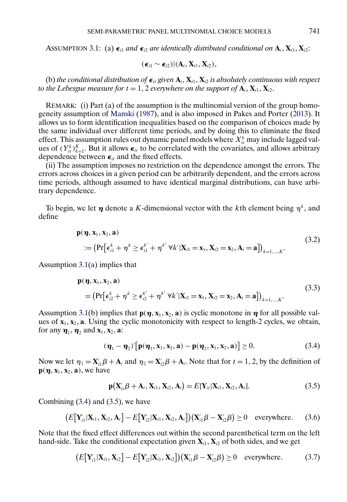<span id="page-4-0"></span>ASSUMPTION 3.1: (a)  $\epsilon_{i1}$  and  $\epsilon_{i2}$  are identically distributed conditional on  $A_i$ ,  $X_{i1}$ ,  $X_{i2}$ :

$$
(\boldsymbol{\epsilon}_{i1} \sim \boldsymbol{\epsilon}_{i2}) | (\mathbf{A}_i, \mathbf{X}_{i1}, \mathbf{X}_{i2}),
$$

(b) the conditional distribution of  $\boldsymbol{\epsilon}_{it}$  given  $\bf{A}_i$ ,  $\bf{X}_{i1}$ ,  $\bf{X}_{i2}$  is absolutely continuous with respect to the Lebesgue measure for  $t = 1, 2$  everywhere on the support of  $\mathbf{A}_i, \mathbf{X}_{i1}, \mathbf{X}_{i2}.$ 

REMARK: (i) Part (a) of the assumption is the multinomial version of the group homogeneity assumption of [Manski](#page-24-0) [\(1987\)](#page-24-0), and is also imposed in Pakes and Porter [\(2013\)](#page-24-0). It allows us to form identification inequalities based on the comparison of choices made by the same individual over different time periods, and by doing this to eliminate the fixed effect. This assumption rules out dynamic panel models where  $X_{it}^k$  may include lagged values of  $(Y_{it}^k)_{k=1}^K$ . But it allows  $\epsilon_{it}$  to be correlated with the covariates, and allows arbitrary dependence between  $\epsilon_{it}$  and the fixed effects.

(ii) The assumption imposes no restriction on the dependence amongst the errors. The errors across choices in a given period can be arbitrarily dependent, and the errors across time periods, although assumed to have identical marginal distributions, can have arbitrary dependence.

To begin, we let  $\eta$  denote a K-dimensional vector with the kth element being  $\eta^k$ , and define

$$
\mathbf{p}(\boldsymbol{\eta}, \mathbf{x}_1, \mathbf{x}_2, \mathbf{a})
$$
  
 := 
$$
(\Pr[\boldsymbol{\epsilon}_{i1}^k + \boldsymbol{\eta}^k \geq \boldsymbol{\epsilon}_{i1}^{k'} + \boldsymbol{\eta}^{k'} \ \forall k' | \mathbf{X}_{i1} = \mathbf{x}_1, \mathbf{X}_{i2} = \mathbf{x}_2, \mathbf{A}_i = \mathbf{a}])_{k=1,\dots,K}.
$$
 (3.2)

Assumption 3.1(a) implies that

$$
\mathbf{p}(\boldsymbol{\eta}, \mathbf{x}_1, \mathbf{x}_2, \mathbf{a})
$$
\n
$$
= \left( \Pr \left[ \epsilon_{i2}^k + \eta^k \ge \epsilon_{i2}^{k'} + \eta^{k'} \ \forall k' | \mathbf{X}_{i1} = \mathbf{x}_1, \mathbf{X}_{i2} = \mathbf{x}_2, \mathbf{A}_i = \mathbf{a} \right] \right)_{k=1,\dots,K}.
$$
\n(3.3)

Assumption 3.1(b) implies that  $\mathbf{p}(\eta, \mathbf{x}_1, \mathbf{x}_2, \mathbf{a})$  is cyclic monotone in  $\eta$  for all possible values of  $x_1, x_2, a$ . Using the cyclic monotonicity with respect to length-2 cycles, we obtain, for any  $\boldsymbol{\eta}_1$ ,  $\boldsymbol{\eta}_2$  and  $\mathbf{x}_1$ ,  $\mathbf{x}_2$ , **a**:

$$
(\boldsymbol{\eta}_1 - \boldsymbol{\eta}_2)' [\mathbf{p}(\boldsymbol{\eta}_1, \mathbf{x}_1, \mathbf{x}_2, \mathbf{a}) - \mathbf{p}(\boldsymbol{\eta}_2, \mathbf{x}_1, \mathbf{x}_2, \mathbf{a})] \ge 0. \tag{3.4}
$$

Now we let  $\eta_1 = \mathbf{X}_{i1}'\boldsymbol{\beta} + \mathbf{A}_i$  and  $\eta_2 = \mathbf{X}_{i2}'\boldsymbol{\beta} + \mathbf{A}_i$ . Note that for  $t = 1, 2$ , by the definition of  $\mathbf{p}(\boldsymbol{\eta}, \mathbf{x}_1, \mathbf{x}_2, \mathbf{a})$ , we have

$$
\mathbf{p}(\mathbf{X}_{it}^{\prime}\boldsymbol{\beta}+\mathbf{A}_i,\mathbf{X}_{i1},\mathbf{X}_{i2},\mathbf{A}_i)=E[\mathbf{Y}_{it}|\mathbf{X}_{i1},\mathbf{X}_{i2},\mathbf{A}_i].
$$
\n(3.5)

Combining  $(3.4)$  and  $(3.5)$ , we have

$$
\big(E\big[\mathbf{Y}_{i1}'|\mathbf{X}_{i1},\mathbf{X}_{i2},\mathbf{A}_i\big]-E\big[\mathbf{Y}_{i2}'|\mathbf{X}_{i1},\mathbf{X}_{i2},\mathbf{A}_i\big]\big)\big(\mathbf{X}_{i1}'\boldsymbol{\beta}-\mathbf{X}_{i2}'\boldsymbol{\beta}\big)\geq 0 \quad \text{everywhere.} \tag{3.6}
$$

Note that the fixed effect differences out within the second parenthetical term on the left hand-side. Take the conditional expectation given  $\mathbf{X}_{i1},\mathbf{X}_{i2}$  of both sides, and we get

$$
\big(E\big[\mathbf{Y}_{i1}'|\mathbf{X}_{i1},\mathbf{X}_{i2}\big]-E\big[\mathbf{Y}_{i2}'|\mathbf{X}_{i1},\mathbf{X}_{i2}\big]\big)(\mathbf{X}_{i1}'\boldsymbol{\beta}-\mathbf{X}_{i2}'\boldsymbol{\beta})\geq 0 \quad \text{everywhere.} \tag{3.7}
$$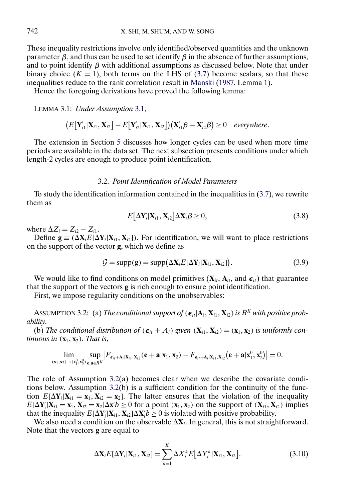<span id="page-5-0"></span>These inequality restrictions involve only identified/observed quantities and the unknown parameter  $\beta$ , and thus can be used to set identify  $\beta$  in the absence of further assumptions, and to point identify  $\beta$  with additional assumptions as discussed below. Note that under binary choice  $(K = 1)$ , both terms on the LHS of [\(3.7\)](#page-4-0) become scalars, so that these inequalities reduce to the rank correlation result in [Manski](#page-24-0) [\(1987,](#page-24-0) Lemma 1).

Hence the foregoing derivations have proved the following lemma:

LEMMA 3.1: *Under Assumption* [3.1,](#page-4-0)

$$
\big(E[\mathbf{Y}_{i1}^\prime|\mathbf{X}_{i1},\mathbf{X}_{i2}]-E[\mathbf{Y}_{i2}^\prime|\mathbf{X}_{i1},\mathbf{X}_{i2}]\big)(\mathbf{X}_{i1}^\prime\boldsymbol{\beta}-\mathbf{X}_{i2}^\prime\boldsymbol{\beta})\geq 0 \quad \text{everywhere.}
$$

The extension in Section [5](#page-10-0) discusses how longer cycles can be used when more time periods are available in the data set. The next subsection presents conditions under which length-2 cycles are enough to produce point identification.

# 3.2. *Point Identification of Model Parameters*

To study the identification information contained in the inequalities in [\(3.7\)](#page-4-0), we rewrite them as

$$
E[\Delta \mathbf{Y}'_i | \mathbf{X}_{i1}, \mathbf{X}_{i2}] \Delta \mathbf{X}'_i \boldsymbol{\beta} \ge 0, \qquad (3.8)
$$

where  $\Delta Z_i = Z_{i2} - Z_{i1}$ .

Define  $\mathbf{g} \equiv (\Delta \mathbf{X}_i E[\Delta \mathbf{Y}_i | \mathbf{X}_{i1}, \mathbf{X}_{i2}])$ . For identification, we will want to place restrictions on the support of the vector **g**, which we define as

$$
G = \text{supp}(\mathbf{g}) = \text{supp}(\Delta \mathbf{X}_i E[\Delta \mathbf{Y}_i | \mathbf{X}_{i1}, \mathbf{X}_{i2}]).
$$
\n(3.9)

We would like to find conditions on model primitives  $(X_{it}, A_{it},$  and  $\epsilon_{it})$  that guarantee that the support of the vectors **g** is rich enough to ensure point identification.

First, we impose regularity conditions on the unobservables:

ASSUMPTION 3.2: (a) *The conditional support of* ( $\epsilon_{it} | A_i, X_{i1}, X_{i2}$ ) *is*  $R^K$  *with positive probability*.

(b) The conditional distribution of  $(\epsilon_{it} + A_i)$  given  $(X_{i1}, X_{i2}) = (x_1, x_2)$  is uniformly con*tinuous in*  $(x_1, x_2)$ . *That is*,

$$
\lim_{(\mathbf{x}_1,\mathbf{x}_2)\rightarrow(\mathbf{x}_1^0,\mathbf{x}_2^0)}\sup_{\mathbf{e},\mathbf{a}\in R^K}\bigl|F_{\pmb{\epsilon}_{it}+\mathbf{A}_i|\mathbf{X}_{i1},\mathbf{X}_{i2}}(\mathbf{e}+\mathbf{a}|\mathbf{x}_1,\mathbf{x}_2)-F_{\pmb{\epsilon}_{it}+\mathbf{A}_i|\mathbf{X}_{i1},\mathbf{X}_{i2}}\bigl(\mathbf{e}+\mathbf{a}|\mathbf{x}_1^0,\mathbf{x}_2^0\bigr)\bigr|=0.
$$

The role of Assumption 3.2(a) becomes clear when we describe the covariate conditions below. Assumption  $3.2(b)$  is a sufficient condition for the continuity of the function  $E[\Delta Y_i|X_{i1} = x_1, X_{i2} = x_2]$ . The latter ensures that the violation of the inequality  $E[\Delta Y_i | X_{i1} = x_1, X_{i2} = x_2] \Delta x' b \ge 0$  for a point  $(x_1, x_2)$  on the support of  $(X_{i1}, X_{i2})$  implies that the inequality  $E[\Delta Y_i | X_{i1}, X_{i2}] \Delta X_i b \ge 0$  is violated with positive probability.

We also need a condition on the observable  $\Delta X_i$ . In general, this is not straightforward. Note that the vectors **g** are equal to

$$
\Delta \mathbf{X}_i E[\Delta \mathbf{Y}_i | \mathbf{X}_{i1}, \mathbf{X}_{i2}] = \sum_{k=1}^K \Delta X_i^k E[\Delta Y_i^k | \mathbf{X}_{i1}, \mathbf{X}_{i2}].
$$
\n(3.10)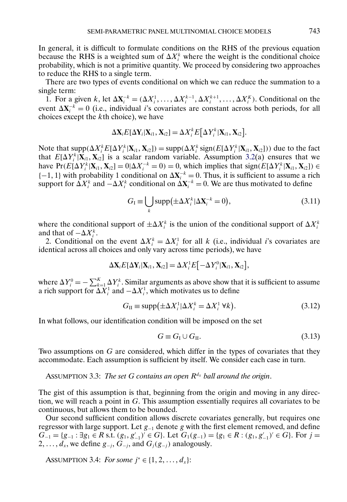<span id="page-6-0"></span>In general, it is difficult to formulate conditions on the RHS of the previous equation because the RHS is a weighted sum of  $\Delta X_i^k$  where the weight is the conditional choice probability, which is not a primitive quantity. We proceed by considering two approaches to reduce the RHS to a single term.

There are two types of events conditional on which we can reduce the summation to a single term:

1. For a given k, let  $\Delta X_i^{-k} = (\Delta X_i^1, \dots, \Delta X_i^{k-1}, \Delta X_i^{k+1}, \dots, \Delta X_i^K)$ . Conditional on the event  $\Delta X_i^{-k} = 0$  (i.e., individual *i*'s covariates are constant across both periods, for all choices except the kth choice), we have

$$
\Delta \mathbf{X}_i E[\Delta \mathbf{Y}_i | \mathbf{X}_{i1}, \mathbf{X}_{i2}] = \Delta X_i^k E[\Delta Y_i^k | \mathbf{X}_{i1}, \mathbf{X}_{i2}].
$$

Note that  $\text{supp}(\Delta X_i^k E[\Delta Y_i^k | \mathbf{X}_{i1}, \mathbf{X}_{i2}]) = \text{supp}(\Delta X_i^k \text{sign}(E[\Delta Y_i^k | \mathbf{X}_{i1}, \mathbf{X}_{i2}]))$  due to the fact that  $E[\Delta Y_i^k|\mathbf{X}_{i1}, \mathbf{X}_{i2}]$  is a scalar random variable. Assumption [3.2\(](#page-5-0)a) ensures that we have  $Pr(E[\Delta Y_i^k | \mathbf{X}_{i1}, \mathbf{X}_{i2}] = 0 | \Delta X_i^{-k} = 0) = 0$ , which implies that  $sign(E[\Delta Y_i^k | \mathbf{X}_{i1}, \mathbf{X}_{i2}]) \in$  $\{-1, 1\}$  with probability 1 conditional on  $\Delta X_i^{-k} = 0$ . Thus, it is sufficient to assume a rich support for  $\hat{\Delta} X_i^k$  and  $-\Delta X_i^k$  conditional on  $\Delta X_i^{-k} = 0$ . We are thus motivated to define

$$
G_{\rm I} \equiv \bigcup_{k} \text{supp}(\pm \Delta X_i^k | \Delta X_i^{-k} = 0), \tag{3.11}
$$

where the conditional support of  $\pm \Delta X_i^k$  is the union of the conditional support of  $\Delta X_i^k$ and that of  $-\Delta X_i^k$ .

2. Conditional on the event  $\Delta X_i^k = \Delta X_i^1$  for all k (i.e., individual i's covariates are identical across all choices and only vary across time periods), we have

$$
\Delta \mathbf{X}_i E[\Delta \mathbf{Y}_i | \mathbf{X}_{i1}, \mathbf{X}_{i2}] = \Delta X_i^1 E[-\Delta Y_i^0 | \mathbf{X}_{i1}, \mathbf{X}_{i2}],
$$

where  $\Delta Y_i^0 = -\sum_{k=1}^K \Delta Y_i^k$ . Similar arguments as above show that it is sufficient to assume a rich support for  $\Delta X_i^1$  and  $-\Delta X_i^1$ , which motivates us to define

$$
G_{\rm II} \equiv \text{supp}(\pm \Delta X_i^1 | \Delta X_i^k = \Delta X_i^1 \,\forall k). \tag{3.12}
$$

In what follows, our identification condition will be imposed on the set

$$
G \equiv G_{\rm I} \cup G_{\rm II}. \tag{3.13}
$$

Two assumptions on G are considered, which differ in the types of covariates that they accommodate. Each assumption is sufficient by itself. We consider each case in turn.

ASSUMPTION 3.3: *The set G contains an open*  $R^{d_x}$  *ball around the origin.* 

The gist of this assumption is that, beginning from the origin and moving in any direction, we will reach a point in G. This assumption essentially requires all covariates to be continuous, but allows them to be bounded.

Our second sufficient condition allows discrete covariates generally, but requires one regressor with large support. Let  $g_{-1}$  denote g with the first element removed, and define  $G_{-1} = \{g_{-1} : \exists g_1 \in R \text{ s.t. } (g_1, g'_{-1})' \in G\}$ . Let  $G_1(g_{-1}) = \{g_1 \in R : (g_1, g'_{-1})' \in G\}$ . For  $j =$ 2, ...,  $d_x$ , we define  $g_{-i}$ ,  $G_{-i}$ , and  $G_i(g_{-i})$  analogously.

ASSUMPTION 3.4: *For some*  $j^* \in \{1, 2, ..., d_x\}$ :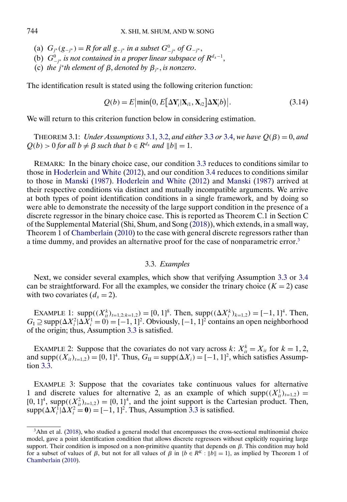- <span id="page-7-0"></span>(a)  $G_{j^*}(g_{-j^*}) = R$  *for all*  $g_{-j^*}$  *in a subset*  $G_{-j^*}^0$  *of*  $G_{-j^*}$ ,
- (b)  $G_{-j^*}^0$  *is not contained in a proper linear subspace of*  $R^{d_x-1}$ ,
- (c) *the j<sup>\*</sup>th element of*  $\beta$ , *denoted by*  $\beta$ <sub>*j*<sup>\*</sup></sub>, *is nonzero*.

The identification result is stated using the following criterion function:

$$
Q(b) = E \left| \min(0, E[\Delta \mathbf{Y}_i' | \mathbf{X}_{i1}, \mathbf{X}_{i2}] \Delta \mathbf{X}_i' b) \right|.
$$
 (3.14)

We will return to this criterion function below in considering estimation.

THEOREM 3.1: *Under Assumptions* [3.1,](#page-4-0) [3.2,](#page-5-0) *and either* [3.3](#page-6-0) *or* [3.4,](#page-6-0) *we have*  $Q(\beta) = 0$ *, and*  $Q(b) > 0$  *for all*  $b \neq \beta$  *such that*  $b \in R^{d_x}$  *and*  $||b|| = 1$ .

REMARK: In the binary choice case, our condition [3.3](#page-6-0) reduces to conditions similar to those in [Hoderlein and White](#page-23-0) [\(2012\)](#page-23-0), and our condition [3.4](#page-6-0) reduces to conditions similar to those in [Manski](#page-24-0) [\(1987\)](#page-24-0). [Hoderlein and White](#page-23-0) [\(2012\)](#page-23-0) and [Manski](#page-24-0) [\(1987\)](#page-24-0) arrived at their respective conditions via distinct and mutually incompatible arguments. We arrive at both types of point identification conditions in a single framework, and by doing so were able to demonstrate the necessity of the large support condition in the presence of a discrete regressor in the binary choice case. This is reported as Theorem C.1 in Section C of the Supplemental Material (Shi, Shum, and Song [\(2018\)](#page-24-0)), which extends, in a small way, Theorem 1 of [Chamberlain](#page-23-0) [\(2010\)](#page-23-0) to the case with general discrete regressors rather than a time dummy, and provides an alternative proof for the case of nonparametric error.3

# 3.3. *Examples*

Next, we consider several examples, which show that verifying Assumption [3.3](#page-6-0) or [3.4](#page-6-0) can be straightforward. For all the examples, we consider the trinary choice  $(K = 2)$  case with two covariates  $(d_x = 2)$ .

EXAMPLE 1:  $supp((X_{it}^k)_{t=1,2;k=1,2}) = [0,1]^8$ . Then,  $supp((\Delta X_i^k)_{k=1,2}) = [-1,1]^4$ . Then,  $G_1 \supseteq \text{supp}(\Delta X_i^2 | \Delta X_i^1 = 0) = [-1, 1]^2$ . Obviously,  $[-1, 1]^2$  contains an open neighborhood of the origin; thus, Assumption [3.3](#page-6-0) is satisfied.

EXAMPLE 2: Suppose that the covariates do not vary across  $k: X_{it}^k = X_{it}$  for  $k = 1, 2,$ and supp $((X_{it})_{t=1,2}) = [0, 1]^4$ . Thus,  $G_{II} = \text{supp}(\Delta X_i) = [-1, 1]^2$ , which satisfies Assumption [3.3.](#page-6-0)

EXAMPLE 3: Suppose that the covariates take continuous values for alternative 1 and discrete values for alternative 2, as an example of which supp $((X_i^1)_{i=1,2})$  =  $[0, 1]^4$ , supp $((X_{it}^2)_{t=1,2}) = \{0, 1\}^4$ , and the joint support is the Cartesian product. Then,  $\text{supp}(\Delta X_i^1 | \Delta X_i^2 = 0) = [-1, 1]^2$ . Thus, Assumption [3.3](#page-6-0) is satisfied.

<sup>&</sup>lt;sup>3</sup>Ahn et al. [\(2018\)](#page-23-0), who studied a general model that encompasses the cross-sectional multinomial choice model, gave a point identification condition that allows discrete regressors without explicitly requiring large support. Their condition is imposed on a non-primitive quantity that depends on  $\beta$ . This condition may hold for a subset of values of  $\beta$ , but not for all values of  $\beta$  in  $\{b \in \mathbb{R}^K : ||b|| = 1\}$ , as implied by Theorem 1 of [Chamberlain](#page-23-0) [\(2010\)](#page-23-0).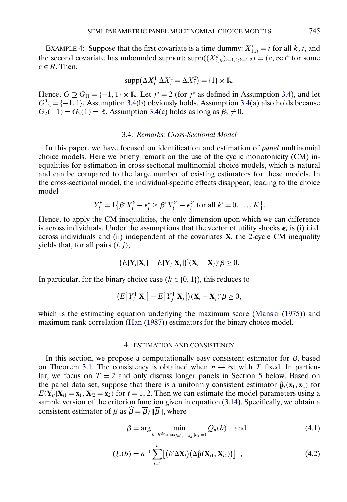<span id="page-8-0"></span>EXAMPLE 4: Suppose that the first covariate is a time dummy:  $X_{1,it}^k = t$  for all k, t, and the second covariate has unbounded support:  $supp((X_{2,i}^k)_{t=1,2;k=1,2}) = (c,\infty)^4$  for some  $c \in R$ . Then,

$$
\mathrm{supp}(\Delta X_i^1 | \Delta X_i^1 = \Delta X_i^2) = \{1\} \times \mathbb{R}.
$$

Hence,  $G \supseteq G_{II} = \{-1, 1\} \times \mathbb{R}$ . Let  $j^* = 2$  (for  $j^*$  as defined in Assumption [3.4\)](#page-6-0), and let  $G_{-2}^0 = \{-1, 1\}$ . Assumption [3.4\(](#page-6-0)b) obviously holds. Assumption 3.4(a) also holds because  $G_2(-1) = G_2(1) = \mathbb{R}$ . Assumption [3.4\(](#page-6-0)c) holds as long as  $\beta_2 \neq 0$ .

# 3.4. *Remarks: Cross-Sectional Model*

In this paper, we have focused on identification and estimation of *panel* multinomial choice models. Here we briefly remark on the use of the cyclic monotonicity (CM) inequalities for estimation in cross-sectional multinomial choice models, which is natural and can be compared to the large number of existing estimators for these models. In the cross-sectional model, the individual-specific effects disappear, leading to the choice model

$$
Y_i^k = 1\big\{\beta'X_i^k + \epsilon_i^k \ge \beta'X_i^{k'} + \epsilon_i^{k'} \text{ for all } k' = 0, \ldots, K\big\}.
$$

Hence, to apply the CM inequalities, the only dimension upon which we can difference is across individuals. Under the assumptions that the vector of utility shocks  $\epsilon_i$  is (i) i.i.d. across individuals and (ii) independent of the covariates **X**, the 2-cycle CM inequality yields that, for all pairs  $(i, j)$ ,

$$
(E[\mathbf{Y}_i|\mathbf{X}_i] - E[\mathbf{Y}_j|\mathbf{X}_j])'(\mathbf{X}_i - \mathbf{X}_j)' \boldsymbol{\beta} \geq 0.
$$

In particular, for the binary choice case ( $k \in \{0, 1\}$ ), this reduces to

$$
\big(E\big[Y_i^1|\mathbf{X}_i\big] - E\big[Y_j^1|\mathbf{X}_j\big]\big)(\mathbf{X}_i - \mathbf{X}_j)' \beta \geq 0,
$$

which is the estimating equation underlying the maximum score [\(Manski](#page-24-0) [\(1975\)](#page-24-0)) and maximum rank correlation [\(Han](#page-23-0) [\(1987\)](#page-23-0)) estimators for the binary choice model.

# 4. ESTIMATION AND CONSISTENCY

In this section, we propose a computationally easy consistent estimator for  $\beta$ , based on Theorem [3.1.](#page-7-0) The consistency is obtained when  $n \to \infty$  with T fixed. In particular, we focus on  $T = 2$  and only discuss longer panels in Section [5](#page-10-0) below. Based on the panel data set, suppose that there is a uniformly consistent estimator  $\hat{\mathbf{p}}_t(\mathbf{x}_1, \mathbf{x}_2)$  for  $E(Y_{it} | X_{i1} = x_1, X_{i2} = x_2)$  for  $t = 1, 2$ . Then we can estimate the model parameters using a sample version of the criterion function given in equation [\(3.14\)](#page-7-0). Specifically, we obtain a consistent estimator of  $\beta$  as  $\beta = \overline{\beta}/\|\overline{\beta}\|$ , where

$$
\overline{\beta} = \arg \min_{b \in R^{d_X} : \max_{j=1,\dots,d_X} |b_j|=1} Q_n(b) \quad \text{and} \tag{4.1}
$$

$$
Q_n(b) = n^{-1} \sum_{i=1}^n \left[ \left( b' \Delta \mathbf{X}_i \right) \left( \Delta \hat{\mathbf{p}}(\mathbf{X}_{i1}, \mathbf{X}_{i2}) \right) \right]_-, \tag{4.2}
$$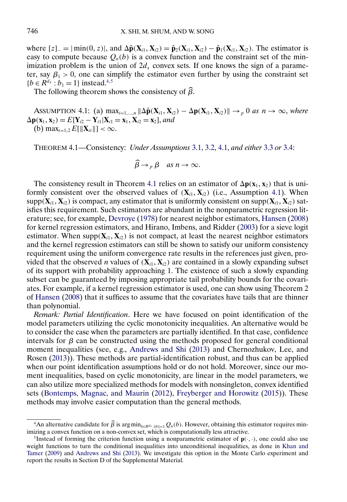<span id="page-9-0"></span>where  $[z]_ = |min(0, z)|$ , and  $\Delta \hat{\mathbf{p}}(\mathbf{X}_{i1}, \mathbf{X}_{i2}) = \hat{\mathbf{p}}_2(\mathbf{X}_{i1}, \mathbf{X}_{i2}) - \hat{\mathbf{p}}_1(\mathbf{X}_{i1}, \mathbf{X}_{i2})$ . The estimator is easy to compute because  $Q_n(b)$  is a convex function and the constraint set of the minimization problem is the union of  $2d<sub>x</sub>$  convex sets. If one knows the sign of a parameter, say  $\beta_1 > 0$ , one can simplify the estimator even further by using the constraint set  ${b \in R^{d_x} : b_1 = 1}$  instead.<sup>4,5</sup>

The following theorem shows the consistency of  $\beta$ .

ASSUMPTION 4.1: (a)  $\max_{i=1,\dots,n} \|\Delta \hat{\mathbf{p}}(\mathbf{X}_{i1}, \mathbf{X}_{i2}) - \Delta \mathbf{p}(\mathbf{X}_{i1}, \mathbf{X}_{i2})\| \to_p 0$  as  $n \to \infty$ , where  $\Delta p(\mathbf{x}_1, \mathbf{x}_2) = E[\mathbf{Y}_{i2} - \mathbf{Y}_{i1} | \mathbf{X}_{i1} = \mathbf{x}_1, \mathbf{X}_{i2} = \mathbf{x}_2],$  and (b)  $\max_{t=1,2} E[\|\mathbf{X}_{it}\|] < \infty$ .

THEOREM 4.1—Consistency: *Under Assumptions* [3.1,](#page-4-0) [3.2,](#page-5-0) 4.1, *and either* [3.3](#page-6-0) *or* [3.4:](#page-6-0)

$$
\widehat{\beta} \to_{p} \beta \quad \text{as } n \to \infty.
$$

The consistency result in Theorem 4.1 relies on an estimator of  $\Delta p(x_1, x_2)$  that is uniformly consistent over the observed values of  $(X_{i1}, X_{i2})$  (i.e., Assumption 4.1). When  $supp(X_{i1}, X_{i2})$  is compact, any estimator that is uniformly consistent on  $supp(X_{i1}, X_{i2})$  satisfies this requirement. Such estimators are abundant in the nonparametric regression literature; see, for example, [Devroye](#page-23-0) [\(1978\)](#page-23-0) for nearest neighbor estimators, [Hansen](#page-23-0) [\(2008\)](#page-23-0) for kernel regression estimators, and Hirano, Imbens, and Ridder [\(2003\)](#page-23-0) for a sieve logit estimator. When supp $(X_{i1}, X_{i2})$  is not compact, at least the nearest neighbor estimators and the kernel regression estimators can still be shown to satisfy our uniform consistency requirement using the uniform convergence rate results in the references just given, provided that the observed *n* values of  $(X_{i1}, X_{i2})$  are contained in a slowly expanding subset of its support with probability approaching 1. The existence of such a slowly expanding subset can be guaranteed by imposing appropriate tail probability bounds for the covariates. For example, if a kernel regression estimator is used, one can show using Theorem 2 of [Hansen](#page-23-0) [\(2008\)](#page-23-0) that it suffices to assume that the covariates have tails that are thinner than polynomial.

*Remark: Partial Identification*. Here we have focused on point identification of the model parameters utilizing the cyclic monotonicity inequalities. An alternative would be to consider the case when the parameters are partially identified. In that case, confidence intervals for  $\beta$  can be constructed using the methods proposed for general conditional moment inequalities (see, e.g., [Andrews and Shi](#page-23-0) [\(2013\)](#page-23-0) and Chernozhukov, Lee, and Rosen [\(2013\)](#page-23-0)). These methods are partial-identification robust, and thus can be applied when our point identification assumptions hold or do not hold. Moreover, since our moment inequalities, based on cyclic monotonicity, are linear in the model parameters, we can also utilize more specialized methods for models with nonsingleton, convex identified sets [\(Bontemps, Magnac, and Maurin](#page-23-0) [\(2012\)](#page-23-0), [Freyberger and Horowitz](#page-23-0) [\(2015\)](#page-23-0)). These methods may involve easier computation than the general methods.

<sup>&</sup>lt;sup>4</sup>An alternative candidate for  $\widehat{\beta}$  is argmin<sub>b∈R<sup>dx</sup>:||b||=1</sub>  $Q_n(b)$ . However, obtaining this estimator requires minimizing a convex function on a non-convex set, which is computationally less attractive.

<sup>&</sup>lt;sup>5</sup>Instead of forming the criterion function using a nonparametric estimator of  $\mathbf{p}(\cdot,\cdot)$ , one could also use weight functions to turn the conditional inequalities into unconditional inequalities, as done in [Khan and](#page-24-0) [Tamer](#page-24-0) [\(2009\)](#page-24-0) and [Andrews and Shi](#page-23-0) [\(2013\)](#page-23-0). We investigate this option in the Monte Carlo experiment and report the results in Section D of the Supplemental Material.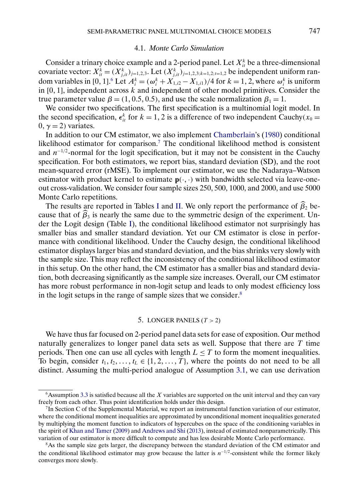#### 4.1. *Monte Carlo Simulation*

<span id="page-10-0"></span>Consider a trinary choice example and a 2-period panel. Let  $X_{it}^k$  be a three-dimensional covariate vector:  $X_{it}^k = (X_{j,it}^k)_{j=1,2,3}$ . Let  $(X_{j,it}^k)_{j=1,2,3;k=1,2;t=1,2}$  be independent uniform random variables in [0, 1].<sup>6</sup> Let  $A_i^k = (\omega_i^k + X_{1,i^2} - X_{1,i^2})/4$  for  $k = 1, 2$ , where  $\omega_i^k$  is uniform in  $[0, 1]$ , independent across k and independent of other model primitives. Consider the true parameter value  $\beta = (1, 0.5, 0.5)$ , and use the scale normalization  $\beta_1 = 1$ .

We consider two specifications. The first specification is a multinomial logit model. In the second specification,  $\epsilon_{it}^k$  for  $k = 1, 2$  is a difference of two independent Cauchy( $x_0 =$  $0, \gamma = 2$ ) variates.

In addition to our CM estimator, we also implement [Chamberlain'](#page-23-0)s [\(1980\)](#page-23-0) conditional likelihood estimator for comparison.<sup>7</sup> The conditional likelihood method is consistent and  $n^{-1/2}$ -normal for the logit specification, but it may not be consistent in the Cauchy specification. For both estimators, we report bias, standard deviation (SD), and the root mean-squared error (rMSE). To implement our estimator, we use the Nadaraya–Watson estimator with product kernel to estimate  $p(\cdot, \cdot)$  with bandwidth selected via leave-oneout cross-validation. We consider four sample sizes 250, 500, 1000, and 2000, and use 5000 Monte Carlo repetitions.

The results are reported in Tables [I](#page-11-0) and [II.](#page-11-0) We only report the performance of  $\beta_2$  because that of  $\beta_3$  is nearly the same due to the symmetric design of the experiment. Under the Logit design (Table [I\)](#page-11-0), the conditional likelihood estimator not surprisingly has smaller bias and smaller standard deviation. Yet our CM estimator is close in performance with conditional likelihood. Under the Cauchy design, the conditional likelihood estimator displays larger bias and standard deviation, and the bias shrinks very slowly with the sample size. This may reflect the inconsistency of the conditional likelihood estimator in this setup. On the other hand, the CM estimator has a smaller bias and standard deviation, both decreasing significantly as the sample size increases. Overall, our CM estimator has more robust performance in non-logit setup and leads to only modest efficiency loss in the logit setups in the range of sample sizes that we consider.<sup>8</sup>

# 5. LONGER PANELS ( $T > 2$ )

We have thus far focused on 2-period panel data sets for ease of exposition. Our method naturally generalizes to longer panel data sets as well. Suppose that there are  $T$  time periods. Then one can use all cycles with length  $L \leq T$  to form the moment inequalities. To begin, consider  $t_1, t_2, \ldots, t_L \in \{1, 2, \ldots, T\}$ , where the points do not need to be all distinct. Assuming the multi-period analogue of Assumption [3.1,](#page-4-0) we can use derivation

 $6$ Assumption [3.3](#page-6-0) is satisfied because all the X variables are supported on the unit interval and they can vary freely from each other. Thus point identification holds under this design.

<sup>7</sup>In Section C of the Supplemental Material, we report an instrumental function variation of our estimator, where the conditional moment inequalities are approximated by unconditional moment inequalities generated by multiplying the moment function to indicators of hypercubes on the space of the conditioning variables in the spirit of [Khan and Tamer](#page-24-0) [\(2009\)](#page-24-0) and [Andrews and Shi](#page-23-0) [\(2013\)](#page-23-0), instead of estimated nonparametrically. This variation of our estimator is more difficult to compute and has less desirable Monte Carlo performance.

<sup>8</sup>As the sample size gets larger, the discrepancy between the standard deviation of the CM estimator and the conditional likelihood estimator may grow because the latter is  $n^{-1/2}$ -consistent while the former likely converges more slowly.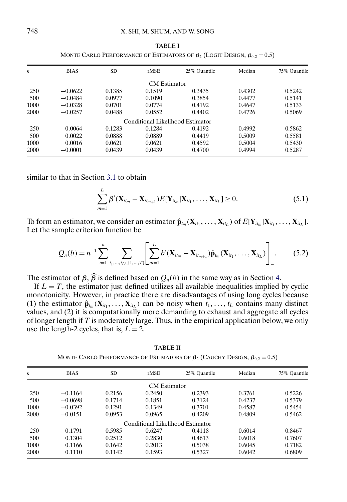<span id="page-11-0"></span>

| $\boldsymbol{n}$ | <b>BIAS</b> | <b>SD</b> | rMSE                             | 25% Ouantile | Median | 75% Quantile |
|------------------|-------------|-----------|----------------------------------|--------------|--------|--------------|
|                  |             |           | <b>CM</b> Estimator              |              |        |              |
| 250              | $-0.0622$   | 0.1385    | 0.1519                           | 0.3435       | 0.4302 | 0.5242       |
| 500              | $-0.0484$   | 0.0977    | 0.1090                           | 0.3854       | 0.4477 | 0.5141       |
| 1000             | $-0.0328$   | 0.0701    | 0.0774                           | 0.4192       | 0.4647 | 0.5133       |
| 2000             | $-0.0257$   | 0.0488    | 0.0552                           | 0.4402       | 0.4726 | 0.5069       |
|                  |             |           | Conditional Likelihood Estimator |              |        |              |
| 250              | 0.0064      | 0.1283    | 0.1284                           | 0.4192       | 0.4992 | 0.5862       |
| 500              | 0.0022      | 0.0888    | 0.0889                           | 0.4419       | 0.5009 | 0.5581       |
| 1000             | 0.0016      | 0.0621    | 0.0621                           | 0.4592       | 0.5004 | 0.5430       |
| 2000             | $-0.0001$   | 0.0439    | 0.0439                           | 0.4700       | 0.4994 | 0.5287       |

TABLE I MONTE CARLO PERFORMANCE OF ESTIMATORS OF  $\beta_2$  (LOGIT DESIGN,  $\beta_{0,2} = 0.5$ )

similar to that in Section [3.1](#page-5-0) to obtain

$$
\sum_{m=1}^{L} \beta' (\mathbf{X}_{it_m} - \mathbf{X}_{it_{m+1}}) E[\mathbf{Y}_{it_m} | \mathbf{X}_{it_1}, \dots, \mathbf{X}_{it_L}] \ge 0.
$$
 (5.1)

To form an estimator, we consider an estimator  $\hat{\mathbf{p}}_{t_m}(\mathbf{X}_{it_1}, \dots, \mathbf{X}_{it_L})$  of  $E[\mathbf{Y}_{it_m} | \mathbf{X}_{it_1}, \dots, \mathbf{X}_{it_L}]$ . Let the sample criterion function be

$$
Q_n(b) = n^{-1} \sum_{i=1}^n \sum_{t_1, \dots, t_L \in \{1, \dots, T\}} \left[ \sum_{m=1}^L b'(\mathbf{X}_{it_m} - \mathbf{X}_{it_{m+1}}) \hat{\mathbf{p}}_{t_m}(\mathbf{X}_{it_1}, \dots, \mathbf{X}_{it_L}) \right].
$$
 (5.2)

The estimator of  $\beta$ ,  $\beta$  is defined based on  $Q_n(b)$  in the same way as in Section [4.](#page-8-0)

If  $L = T$ , the estimator just defined utilizes all available inequalities implied by cyclic monotonicity. However, in practice there are disadvantages of using long cycles because (1) the estimator  $\hat{\mathbf{p}}_{t_m}(\mathbf{X}_{it_1},..., \mathbf{X}_{it_L})$  can be noisy when  $t_1,..., t_L$  contains many distinct values, and (2) it is computationally more demanding to exhaust and aggregate all cycles of longer length if  $T$  is moderately large. Thus, in the empirical application below, we only use the length-2 cycles, that is,  $L = 2$ .

TABLE II MONTE CARLO PERFORMANCE OF ESTIMATORS OF  $\beta_2$  (Cauchy Design,  $\beta_{0,2} = 0.5$ )

| $\boldsymbol{n}$ | <b>BIAS</b> | SD.    | rMSE                             | 25% Ouantile | Median | 75% Ouantile |
|------------------|-------------|--------|----------------------------------|--------------|--------|--------------|
|                  |             |        | <b>CM</b> Estimator              |              |        |              |
| 250              | $-0.1164$   | 0.2156 | 0.2450                           | 0.2393       | 0.3761 | 0.5226       |
| 500              | $-0.0698$   | 0.1714 | 0.1851                           | 0.3124       | 0.4237 | 0.5379       |
| 1000             | $-0.0392$   | 0.1291 | 0.1349                           | 0.3701       | 0.4587 | 0.5454       |
| 2000             | $-0.0151$   | 0.0953 | 0.0965                           | 0.4209       | 0.4809 | 0.5462       |
|                  |             |        | Conditional Likelihood Estimator |              |        |              |
| 250              | 0.1791      | 0.5985 | 0.6247                           | 0.4118       | 0.6014 | 0.8467       |
| 500              | 0.1304      | 0.2512 | 0.2830                           | 0.4613       | 0.6018 | 0.7607       |
| 1000             | 0.1166      | 0.1642 | 0.2013                           | 0.5038       | 0.6045 | 0.7182       |
| 2000             | 0.1110      | 0.1142 | 0.1593                           | 0.5327       | 0.6042 | 0.6809       |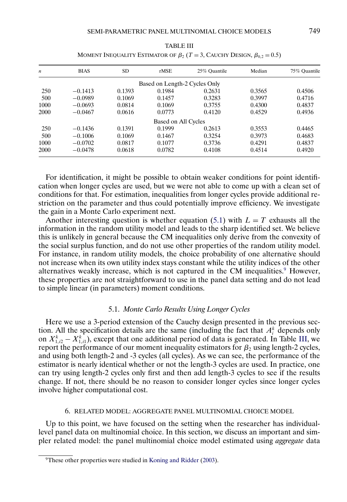<span id="page-12-0"></span>

| $\boldsymbol{n}$ | <b>BIAS</b> | SD.    | rMSE                          | 25% Quantile | Median | 75% Ouantile |
|------------------|-------------|--------|-------------------------------|--------------|--------|--------------|
|                  |             |        | Based on Length-2 Cycles Only |              |        |              |
| 250              | $-0.1413$   | 0.1393 | 0.1984                        | 0.2631       | 0.3565 | 0.4506       |
| 500              | $-0.0989$   | 0.1069 | 0.1457                        | 0.3283       | 0.3997 | 0.4716       |
| 1000             | $-0.0693$   | 0.0814 | 0.1069                        | 0.3755       | 0.4300 | 0.4837       |
| 2000             | $-0.0467$   | 0.0616 | 0.0773                        | 0.4120       | 0.4529 | 0.4936       |
|                  |             |        | Based on All Cycles           |              |        |              |
| 250              | $-0.1436$   | 0.1391 | 0.1999                        | 0.2613       | 0.3553 | 0.4465       |
| 500              | $-0.1006$   | 0.1069 | 0.1467                        | 0.3254       | 0.3973 | 0.4683       |
| 1000             | $-0.0702$   | 0.0817 | 0.1077                        | 0.3736       | 0.4291 | 0.4837       |
| 2000             | $-0.0478$   | 0.0618 | 0.0782                        | 0.4108       | 0.4514 | 0.4920       |

TABLE III MOMENT INEQUALITY ESTIMATOR OF  $\beta_2$  (*T* = 3, Cauchy Design,  $\beta_{0,2} = 0.5$ )

For identification, it might be possible to obtain weaker conditions for point identification when longer cycles are used, but we were not able to come up with a clean set of conditions for that. For estimation, inequalities from longer cycles provide additional restriction on the parameter and thus could potentially improve efficiency. We investigate the gain in a Monte Carlo experiment next.

Another interesting question is whether equation [\(5.1\)](#page-11-0) with  $L = T$  exhausts all the information in the random utility model and leads to the sharp identified set. We believe this is unlikely in general because the CM inequalities only derive from the convexity of the social surplus function, and do not use other properties of the random utility model. For instance, in random utility models, the choice probability of one alternative should not increase when its own utility index stays constant while the utility indices of the other alternatives weakly increase, which is not captured in the CM inequalities.<sup>9</sup> However, these properties are not straightforward to use in the panel data setting and do not lead to simple linear (in parameters) moment conditions.

## 5.1. *Monte Carlo Results Using Longer Cycles*

Here we use a 3-period extension of the Cauchy design presented in the previous section. All the specification details are the same (including the fact that  $A_i^k$  depends only on  $X_{1,i2}^k - X_{1,i1}^k$ ), except that one additional period of data is generated. In Table III, we report the performance of our moment inequality estimators for  $\beta_2$  using length-2 cycles, and using both length-2 and -3 cycles (all cycles). As we can see, the performance of the estimator is nearly identical whether or not the length-3 cycles are used. In practice, one can try using length-2 cycles only first and then add length-3 cycles to see if the results change. If not, there should be no reason to consider longer cycles since longer cycles involve higher computational cost.

#### 6. RELATED MODEL: AGGREGATE PANEL MULTINOMIAL CHOICE MODEL

Up to this point, we have focused on the setting when the researcher has individuallevel panel data on multinomial choice. In this section, we discuss an important and simpler related model: the panel multinomial choice model estimated using *aggregate* data

<sup>&</sup>lt;sup>9</sup>These other properties were studied in [Koning and Ridder](#page-24-0) [\(2003\)](#page-24-0).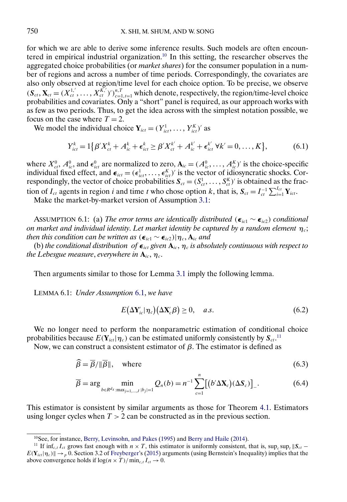<span id="page-13-0"></span>for which we are able to derive some inference results. Such models are often encountered in empirical industrial organization.<sup>10</sup> In this setting, the researcher observes the aggregated choice probabilities (or *market shares*) for the consumer population in a number of regions and across a number of time periods. Correspondingly, the covariates are also only observed at region/time level for each choice option. To be precise, we observe  $(\mathbf{S}_{ct}, \mathbf{X}_{ct} = (X_{ct}^{1,'}, \dots, X_{ct}^{K,'})')_{c=1, t=1}^{n,T}$  which denote, respectively, the region/time-level choice probabilities and covariates. Only a "short" panel is required, as our approach works with as few as two periods. Thus, to get the idea across with the simplest notation possible, we focus on the case where  $T = 2$ .

We model the individual choice  $Y_{ict} = (Y_{ict}^1, \dots, Y_{ict}^K)'$  as

$$
Y_{ict}^{k} = 1\{\beta'X_{ct}^{k} + A_{ic}^{k} + \epsilon_{ict}^{k} \ge \beta'X_{ct}^{k'} + A_{ic}^{k'} + \epsilon_{ict}^{k'} \forall k' = 0, ..., K\},
$$
(6.1)

where  $X_{ct}^0$ ,  $A_{ic}^0$  and  $\epsilon_{ict}^0$  are normalized to zero,  $\mathbf{A}_{ic} = (A_{ic}^0, \dots, A_{ic}^K)'$  is the choice-specific individual fixed effect, and  $\boldsymbol{\epsilon}_{ict} = (\epsilon_{ict}^1, \dots, \epsilon_{ict}^K)'$  is the vector of idiosyncratic shocks. Correspondingly, the vector of choice probabilities  $S_{ct} = (S_{ct}^1, \ldots, S_{ct}^K)'$  is obtained as the fraction of  $I_{ct}$  agents in region i and time t who chose option k, that is,  $S_{ct} = I_{ct}^{-1} \sum_{i=1}^{I_{ct}} Y_{ict}$ .

Make the market-by-market version of Assumption [3.1:](#page-4-0)

ASSUMPTION 6.1: (a) *The error terms are identically distributed* ( $\epsilon_{ic1} \sim \epsilon_{ic2}$ ) *conditional on market and individual identity. Let market identity be captured by a random element*  $\eta_c$ ; *then this condition can be written as* ( $\epsilon_{ic1} \sim \epsilon_{ic2}$ )| $\eta_c$ ,  $A_{ic}$  and

(b) the conditional distribution  $of \epsilon_{\text{ict}}$  given  $A_{\text{ic}}$ ,  $\eta_c$  is absolutely continuous with respect to the Lebesgue measure, everywhere in  $\mathbf{A}_{ic}, \boldsymbol{\eta}_c.$ 

Then arguments similar to those for Lemma [3.1](#page-5-0) imply the following lemma.

LEMMA 6.1: *Under Assumption* 6.1, *we have*

$$
E(\Delta \mathbf{Y}_{ic}^{\prime}|\boldsymbol{\eta}_{c}) (\Delta \mathbf{X}_{c}^{\prime}\boldsymbol{\beta}) \geq 0, \quad a.s.
$$
\n(6.2)

We no longer need to perform the nonparametric estimation of conditional choice probabilities because  $E(Y_{ict}|\eta_c)$  can be estimated uniformly consistently by  $S_{ct}$ .<sup>11</sup>

Now, we can construct a consistent estimator of  $β$ . The estimator is defined as

$$
\widehat{\beta} = \overline{\beta}/\|\overline{\beta}\|, \quad \text{where} \tag{6.3}
$$

$$
\overline{\beta} = \arg \min_{b \in R^{d_X} : \max_{j=1,\dots,J} |b_j|=1} Q_n(b) = n^{-1} \sum_{c=1}^n \left[ \left( b' \Delta \mathbf{X}_c \right) (\Delta \mathbf{S}_c) \right]_-\tag{6.4}
$$

This estimator is consistent by similar arguments as those for Theorem [4.1.](#page-9-0) Estimators using longer cycles when  $T > 2$  can be constructed as in the previous section.

<sup>10</sup>See, for instance, [Berry, Levinsohn, and Pakes](#page-23-0) [\(1995\)](#page-23-0) and [Berry and Haile](#page-23-0) [\(2014\)](#page-23-0).

<sup>&</sup>lt;sup>11</sup> If inf<sub>c,t</sub>  $I_{ct}$  grows fast enough with  $n \times T$ , this estimator is uniformly consistent, that is, sup<sub>c</sub> sup<sub>t</sub>  $||S_{ct} E(Y_{ict} | \eta_c) || \rightarrow p 0$ . Section 3.2 of [Freyberger'](#page-23-0)s [\(2015\)](#page-23-0) arguments (using Bernstein's Inequality) implies that the above convergence holds if  $\log(n \times T) / \min_{c,t} I_{ct} \to 0$ .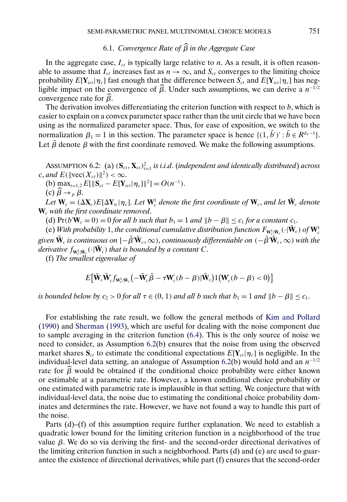# 6.1. *Convergence Rate of* β *in the Aggregate Case*

<span id="page-14-0"></span>In the aggregate case,  $I_{ct}$  is typically large relative to n. As a result, it is often reasonable to assume that  $I_{ct}$  increases fast as  $n \to \infty$ , and  $S_{ct}$  converges to the limiting choice probability  $E[Y_{ict}|\eta_c]$  fast enough that the difference between  $S_{ct}$  and  $E[Y_{ict}|\eta_c]$  has negligible impact on the convergence of  $\widehat{\beta}$ . Under such assumptions, we can derive a  $n^{-1/2}$ convergence rate for β .

The derivation involves differentiating the criterion function with respect to  $b$ , which is easier to explain on a convex parameter space rather than the unit circle that we have been using as the normalized parameter space. Thus, for ease of exposition, we switch to the normalization  $\beta_1 = 1$  in this section. The parameter space is hence  $\{(1, \tilde{b}') : \tilde{b} \in R^{d_x-1}\}.$ Let  $\tilde{\beta}$  denote  $\beta$  with the first coordinate removed. We make the following assumptions.

ASSUMPTION 6.2: (a)  $(\mathbf{S}_{ct}, \mathbf{X}_{ct})_{t=1}^2$  *is i.i.d.* (*independent and identically distributed*) *across* c, and  $E(\|\text{vec}(X_{ct})\|^2) < \infty$ .

(b)  $\max_{t=1,2} E[\|\mathbf{S}_{ct} - E[\mathbf{Y}_{ict}|\boldsymbol{\eta}_c]\|^2] = O(n^{-1}).$ 

(c)  $\widehat{\beta} \rightarrow_{p} \beta$ .

*Let*  $W_c = (\Delta X_c)E[\Delta Y_{ic} | \eta_c]$ . *Let*  $W_c^1$  *denote the first coordinate of*  $W_c$ , *and let*  $\tilde{W}_c$  *denote* **W**<sup>c</sup> *with the first coordinate removed*.

(d)  $Pr(b'W_c = 0) = 0$  *for all b such that*  $b_1 = 1$  *and*  $||b - \beta|| \le c_1$  *for a constant*  $c_1$ *.* 

(e) With probability 1, the conditional cumulative distribution function  $F_{\mathbf{W}_c^1|\tilde{\mathbf{W}}_c}(\cdot|\tilde{\mathbf{W}}_c)$  of  $\mathbf{W}_c^1$ given  $\tilde{W}_c$  is continuous on  $[-\tilde{\beta}'\tilde{W}_c,\infty)$ , continuously differentiable on  $(-\tilde{\beta}'\tilde{W}_c,\infty)$  with the derivative  $f_{\mathbf{W}_c^1|\tilde{\mathbf{W}}_c}(\cdot|\tilde{\mathbf{W}}_c)$  that is bounded by a constant C.

(f) *The smallest eigenvalue of*

$$
E[\tilde{\mathbf{W}}_{c}\tilde{\mathbf{W}}_{c}'f_{\mathbf{W}_{c}^{1}|\tilde{\mathbf{W}}_{c}}(-\tilde{\mathbf{W}}_{c}'\tilde{\beta}-\tau\mathbf{W}_{c}'(b-\beta)|\tilde{\mathbf{W}}_{c})1(\mathbf{W}_{c}'(b-\beta)<0)]
$$

*is bounded below by*  $c_2 > 0$  *for all*  $\tau \in (0, 1)$  *and all b such that*  $b_1 = 1$  *and*  $||b - \beta|| \le c_1$ .

For establishing the rate result, we follow the general methods of [Kim and Pollard](#page-24-0) [\(1990\)](#page-24-0) and [Sherman](#page-24-0) [\(1993\)](#page-24-0), which are useful for dealing with the noise component due to sample averaging in the criterion function [\(6.4\)](#page-13-0). This is the only source of noise we need to consider, as Assumption 6.2(b) ensures that the noise from using the observed market shares  $S_{ct}$  to estimate the conditional expectations  $E[Y_{ct}|\eta_c]$  is negligible. In the individual-level data setting, an analogue of Assumption 6.2(b) would hold and an  $n^{-1/2}$ rate for  $\beta$  would be obtained if the conditional choice probability were either known or estimable at a parametric rate. However, a known conditional choice probability or one estimated with parametric rate is implausible in that setting. We conjecture that with individual-level data, the noise due to estimating the conditional choice probability dominates and determines the rate. However, we have not found a way to handle this part of the noise.

Parts (d)–(f) of this assumption require further explanation. We need to establish a quadratic lower bound for the limiting criterion function in a neighborhood of the true value β. We do so via deriving the first- and the second-order directional derivatives of the limiting criterion function in such a neighborhood. Parts (d) and (e) are used to guarantee the existence of directional derivatives, while part (f) ensures that the second-order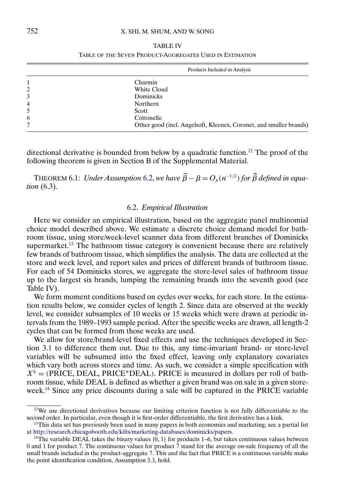# 752 X. SHI, M. SHUM, AND W. SONG

| ABL! |  |  |
|------|--|--|
|      |  |  |

TABLE OF THE SEVEN PRODUCT-AGGREGATES USED IN ESTIMATION

|   | Products Included in Analysis                                      |
|---|--------------------------------------------------------------------|
|   | Charmin                                                            |
| 2 | White Cloud                                                        |
| 3 | Dominicks                                                          |
| 4 | Northern                                                           |
| 5 | Scott                                                              |
| 6 | Cottonelle                                                         |
| 7 | Other good (incl. Angelsoft, Kleenex, Coronet, and smaller brands) |

directional derivative is bounded from below by a quadratic function.<sup>12</sup> The proof of the following theorem is given in Section B of the Supplemental Material.

THEOREM 6.1: *Under Assumption* [6.2,](#page-14-0) *we have*  $\widehat{\beta} - \beta = O_p(n^{-1/2})$  *for*  $\widehat{\beta}$  *defined in equation* [\(6.3\)](#page-13-0).

## 6.2. *Empirical Illustration*

Here we consider an empirical illustration, based on the aggregate panel multinomial choice model described above. We estimate a discrete choice demand model for bathroom tissue, using store/week-level scanner data from different branches of Dominicks supermarket.<sup>13</sup> The bathroom tissue category is convenient because there are relatively few brands of bathroom tissue, which simplifies the analysis. The data are collected at the store and week level, and report sales and prices of different brands of bathroom tissue. For each of 54 Dominicks stores, we aggregate the store-level sales of bathroom tissue up to the largest six brands, lumping the remaining brands into the seventh good (see Table IV).

We form moment conditions based on cycles over weeks, for each store. In the estimation results below, we consider cycles of length 2. Since data are observed at the weekly level, we consider subsamples of 10 weeks or 15 weeks which were drawn at periodic intervals from the 1989–1993 sample period. After the specific weeks are drawn, all length-2 cycles that can be formed from those weeks are used.

We allow for store/brand-level fixed effects and use the techniques developed in Section [3.1](#page-3-0) to difference them out. Due to this, any time-invariant brand- or store-level variables will be subsumed into the fixed effect, leaving only explanatory covariates which vary both across stores and time. As such, we consider a simple specification with  $X^k = (PRICE, DEAL, PRICE^*DEAL)$ . PRICE is measured in dollars per roll of bathroom tissue, while DEAL is defined as whether a given brand was on sale in a given storeweek.14 Since any price discounts during a sale will be captured in the PRICE variable

 $12$ We use directional derivatives because our limiting criterion function is not fully differentiable to the second order. In particular, even though it is first-order differentiable, the first derivative has a kink.

<sup>&</sup>lt;sup>13</sup>This data set has previously been used in many papers in both economics and marketing; see a partial list at [http://research.chicagobooth.edu/kilts/marketing-databases/dominicks/papers.](http://research.chicagobooth.edu/kilts/marketing-databases/dominicks/papers)

<sup>&</sup>lt;sup>14</sup>The variable DEAL takes the binary values  $\{0, 1\}$  for products 1–6, but takes continuous values between 0 and 1 for product 7. The continuous values for product  $\overline{7}$  stand for the average on-sale frequency of all the small brands included in the product-aggregate 7. This and the fact that PRICE is a continuous variable make the point identification condition, Assumption [3.3,](#page-6-0) hold.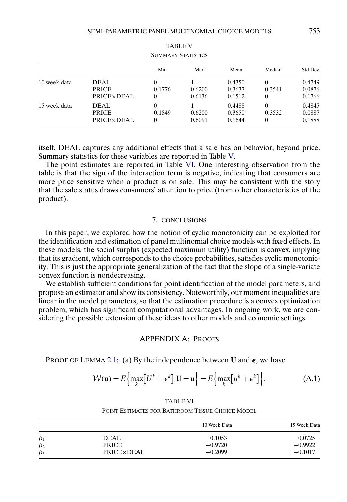<span id="page-16-0"></span>

| SUMMARY STATISTICS |                                     |             |                  |                            |                         |                            |
|--------------------|-------------------------------------|-------------|------------------|----------------------------|-------------------------|----------------------------|
|                    |                                     | Min         | Max              | Mean                       | Median                  | Std.Dev.                   |
| 10 week data       | DEAL.<br><b>PRICE</b><br>PRICE×DEAL | 0.1776      | 0.6200<br>0.6136 | 0.4350<br>0.3637<br>0.1512 | $\theta$<br>0.3541<br>0 | 0.4749<br>0.0876<br>0.1766 |
| 15 week data       | DEAL<br><b>PRICE</b><br>PRICE×DEAL  | 0<br>0.1849 | 0.6200<br>0.6091 | 0.4488<br>0.3650<br>0.1644 | 0<br>0.3532<br>0        | 0.4845<br>0.0887<br>0.1888 |

| TABLE V                   |
|---------------------------|
| <b>SUMMARY STATISTICS</b> |

itself, DEAL captures any additional effects that a sale has on behavior, beyond price. Summary statistics for these variables are reported in Table V.

The point estimates are reported in Table VI. One interesting observation from the table is that the sign of the interaction term is negative, indicating that consumers are more price sensitive when a product is on sale. This may be consistent with the story that the sale status draws consumers' attention to price (from other characteristics of the product).

## 7. CONCLUSIONS

In this paper, we explored how the notion of cyclic monotonicity can be exploited for the identification and estimation of panel multinomial choice models with fixed effects. In these models, the social surplus (expected maximum utility) function is convex, implying that its gradient, which corresponds to the choice probabilities, satisfies cyclic monotonicity. This is just the appropriate generalization of the fact that the slope of a single-variate convex function is nondecreasing.

We establish sufficient conditions for point identification of the model parameters, and propose an estimator and show its consistency. Noteworthily, our moment inequalities are linear in the model parameters, so that the estimation procedure is a convex optimization problem, which has significant computational advantages. In ongoing work, we are considering the possible extension of these ideas to other models and economic settings.

# APPENDIX A: PROOFS

PROOF OF LEMMA [2.1:](#page-3-0) (a) By the independence between U and  $\epsilon$ , we have

$$
\mathcal{W}(\mathbf{u}) = E\left\{\max_{k} \left[U^k + \epsilon^k\right] | \mathbf{U} = \mathbf{u}\right\} = E\left\{\max_{k} \left[u^k + \epsilon^k\right]\right\}.
$$
 (A.1)

| <b>TABLE VI</b>                                  |
|--------------------------------------------------|
| POINT ESTIMATES FOR BATHROOM TISSUE CHOICE MODEL |

|           |            | 10 Week Data | 15 Week Data |
|-----------|------------|--------------|--------------|
| $\beta_1$ | DEAL       | 0.1053       | 0.0725       |
| $\beta_2$ | PRICE      | $-0.9720$    | $-0.9922$    |
| $\beta_3$ | PRICE×DEAL | $-0.2099$    | $-0.1017$    |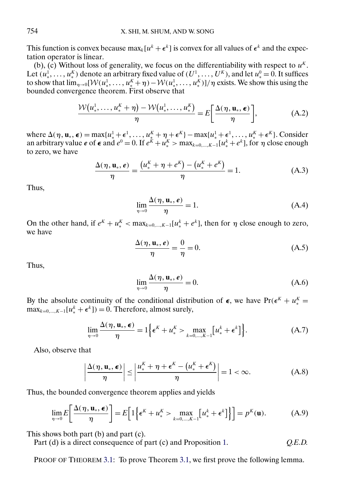This function is convex because  $\max_k[u^k + \epsilon^k]$  is convex for all values of  $\epsilon^k$  and the expectation operator is linear.

(b), (c) Without loss of generality, we focus on the differentiability with respect to  $u<sup>K</sup>$ . Let  $(u^1_*, \ldots, u^K_*)$  denote an arbitrary fixed value of  $(U^1, \ldots, U^K)$ , and let  $u^0_* = 0$ . It suffices to show that  $\lim_{\eta\to 0}$   $[\mathcal{W}(u^1_*,\ldots,u^K_*+\eta)-\mathcal{W}(u^1_*,\ldots,u^K_*)]/\eta$  exists. We show this using the bounded convergence theorem. First observe that

$$
\frac{\mathcal{W}(u_*^1,\ldots,u_*^K+\eta)-\mathcal{W}(u_*^1,\ldots,u_*^K)}{\eta}=E\bigg[\frac{\Delta(\eta,\mathbf{u}_*,\boldsymbol{\epsilon})}{\eta}\bigg],\tag{A.2}
$$

where  $\Delta(\eta, \mathbf{u}_*, \boldsymbol{\epsilon}) = \max\{u^1_* + \boldsymbol{\epsilon}^1, \dots, u^K_* + \eta + \boldsymbol{\epsilon}^K\} - \max\{u^1_* + \boldsymbol{\epsilon}^1, \dots, u^K_* + \boldsymbol{\epsilon}^K\}.$  Consider an arbitrary value  $e$  of  $\epsilon$  and  $e^0 = 0$ . If  $e^K + u_*^K > \max_{k=0,\dots,K-1} [u_*^k + e^k]$ , for  $\eta$  close enough to zero, we have

$$
\frac{\Delta(\eta, \mathbf{u}_{*}, e)}{\eta} = \frac{(u_{*}^{K} + \eta + e^{K}) - (u_{*}^{K} + e^{K})}{\eta} = 1.
$$
 (A.3)

Thus,

$$
\lim_{\eta \to 0} \frac{\Delta(\eta, \mathbf{u}_*, \boldsymbol{e})}{\eta} = 1.
$$
\n(A.4)

On the other hand, if  $e^{K} + u_{*}^{K} < \max_{k=0,...,K-1} [u_{*}^{k} + e^{k}]$ , then for  $\eta$  close enough to zero, we have

$$
\frac{\Delta(\eta, \mathbf{u}_{*}, e)}{\eta} = \frac{0}{\eta} = 0.
$$
 (A.5)

Thus,

$$
\lim_{\eta \to 0} \frac{\Delta(\eta, \mathbf{u}_*, \boldsymbol{e})}{\eta} = 0.
$$
\n(A.6)

By the absolute continuity of the conditional distribution of  $\epsilon$ , we have  $Pr(\epsilon^K + u^K_*)$  $\max_{k=0,\dots,K-1}[u^k_*+\epsilon^k]) = 0.$  Therefore, almost surely,

$$
\lim_{\eta \to 0} \frac{\Delta(\eta, \mathbf{u}_*, \boldsymbol{\epsilon})}{\eta} = 1 \Big\{ \boldsymbol{\epsilon}^K + u^K_* > \max_{k=0,\dots,K-1} \big[ u^k_* + \boldsymbol{\epsilon}^k \big] \Big\}.
$$
 (A.7)

Also, observe that

$$
\left|\frac{\Delta(\eta, \mathbf{u}_{*}, \boldsymbol{\epsilon})}{\eta}\right| \leq \left|\frac{u_{*}^{K} + \eta + \boldsymbol{\epsilon}^{K} - \left(u_{*}^{K} + \boldsymbol{\epsilon}^{K}\right)}{\eta}\right| = 1 < \infty. \tag{A.8}
$$

Thus, the bounded convergence theorem applies and yields

$$
\lim_{\eta \to 0} E\left[\frac{\Delta(\eta, \mathbf{u}_*, \boldsymbol{\epsilon})}{\eta}\right] = E\left[1\left\{\boldsymbol{\epsilon}^K + u^K_* > \max_{k=0,\dots,K-1} \left[u^k_* + \boldsymbol{\epsilon}^k\right]\right\}\right] = p^K(\mathbf{u}).\tag{A.9}
$$

This shows both part (b) and part (c).

Part (d) is a direct consequence of part (c) and Proposition [1.](#page-2-0) *Q.E.D.*

PROOF OF THEOREM [3.1:](#page-7-0) To prove Theorem [3.1,](#page-7-0) we first prove the following lemma.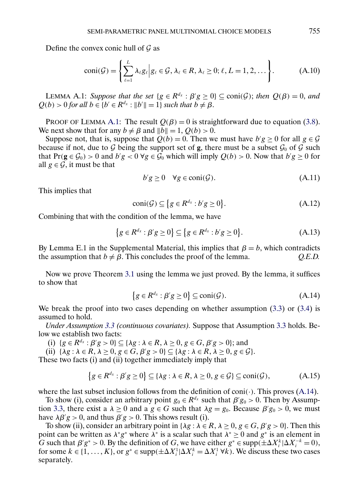<span id="page-18-0"></span>Define the convex conic hull of  $\mathcal G$  as

$$
coni(\mathcal{G}) = \left\{ \sum_{\ell=1}^{L} \lambda_{\ell} g_{\ell} \middle| g_{\ell} \in \mathcal{G}, \lambda_{\ell} \in R, \lambda_{\ell} \geq 0; \ell, L = 1, 2, \dots \right\}.
$$
 (A.10)

LEMMA A.1: *Suppose that the set*  $\{g \in R^{d_x} : \beta'g \ge 0\} \subseteq \text{coni}(\mathcal{G})$ ; *then*  $Q(\beta) = 0$ , and  $Q(b) > 0$  for all  $b \in \{b' \in R^{d_x} : ||b'|| = 1\}$  *such that*  $b \neq \beta$ .

PROOF OF LEMMA A.1: The result  $Q(\beta) = 0$  is straightforward due to equation [\(3.8\)](#page-5-0). We next show that for any  $b \neq \beta$  and  $||b|| = 1$ ,  $Q(b) > 0$ .

Suppose not, that is, suppose that  $Q(b) = 0$ . Then we must have  $b'g \ge 0$  for all  $g \in \mathcal{G}$ because if not, due to  $G$  being the support set of **g**, there must be a subset  $G_0$  of  $G$  such that  $Pr(g \in \mathcal{G}_0) > 0$  and  $b'g < 0 \ \forall g \in \mathcal{G}_0$  which will imply  $Q(b) > 0$ . Now that  $b'g \ge 0$  for all  $g \in \mathcal{G}$ , it must be that

$$
b'g \ge 0 \quad \forall g \in \text{coni}(\mathcal{G}).\tag{A.11}
$$

This implies that

$$
coni(\mathcal{G}) \subseteq \{ g \in R^{d_x} : b'g \ge 0 \}.
$$
\n(A.12)

Combining that with the condition of the lemma, we have

$$
\{g \in R^{d_x} : \beta' g \ge 0\} \subseteq \{g \in R^{d_x} : b' g \ge 0\}.
$$
 (A.13)

By Lemma E.1 in the Supplemental Material, this implies that  $\beta = b$ , which contradicts the assumption that  $b \neq \beta$ . This concludes the proof of the lemma. *Q.E.D.* 

Now we prove Theorem [3.1](#page-7-0) using the lemma we just proved. By the lemma, it suffices to show that

$$
\{g \in R^{d_x} : \beta'g \ge 0\} \subseteq \text{coni}(\mathcal{G}).\tag{A.14}
$$

We break the proof into two cases depending on whether assumption  $(3.3)$  or  $(3.4)$  is assumed to hold.

*Under Assumption [3.3](#page-6-0) (continuous covariates).* Suppose that Assumption [3.3](#page-6-0) holds. Below we establish two facts:

(i)  $\{g \in R^{d_x} : \beta'g > 0\} \subseteq \{\lambda g : \lambda \in R, \lambda \ge 0, g \in G, \beta'g > 0\};\$ and

(ii)  $\{\lambda g : \lambda \in R, \lambda \ge 0, g \in G, \beta' g > 0\} \subseteq \{\lambda g : \lambda \in R, \lambda \ge 0, g \in \mathcal{G}\}.$ 

These two facts (i) and (ii) together immediately imply that

$$
\{g \in R^{d_x} : \beta'g \ge 0\} \subseteq \{\lambda g : \lambda \in R, \lambda \ge 0, g \in \mathcal{G}\} \subseteq \text{coni}(\mathcal{G}),\tag{A.15}
$$

where the last subset inclusion follows from the definition of  $\text{coni}(\cdot)$ . This proves (A.14).

To show (i), consider an arbitrary point  $g_0 \in R^{d_x}$  such that  $\beta' g_0 > 0$ . Then by Assump-tion [3.3,](#page-6-0) there exist a  $\lambda \ge 0$  and a  $g \in G$  such that  $\lambda g = g_0$ . Because  $\beta' g_0 > 0$ , we must have  $\lambda \beta' g > 0$ , and thus  $\beta' g > 0$ . This shows result (i).

To show (ii), consider an arbitrary point in  $\{\lambda g : \lambda \in R, \lambda \geq 0, g \in G, \beta' g > 0\}$ . Then this point can be written as  $\lambda^* g^*$  where  $\lambda^*$  is a scalar such that  $\lambda^* \geq 0$  and  $g^*$  is an element in G such that  $\beta' g^* > 0$ . By the definition of G, we have either  $g^* \in \text{supp}(\pm \Delta X_i^k | \Delta X_i^{-k} = 0)$ , for some  $k \in \{1, ..., K\}$ , or  $g^* \in \text{supp}(\pm \Delta X_i^1 | \Delta X_i^k = \Delta X_i^1 \forall k$ ). We discuss these two cases separately.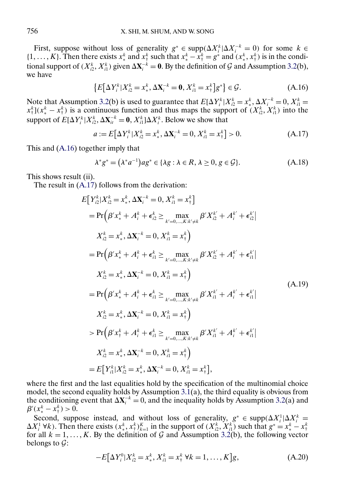<span id="page-19-0"></span>First, suppose without loss of generality  $g^* \in \text{supp}(\Delta X_i^k | \Delta X_i^{-k} = 0)$  for some  $k \in$ {1, ..., K}. Then there exists  $x_*^k$  and  $x_*^k$  such that  $x_*^k - x_*^k = g^*$  and  $(x_*^k, x_*^k)$  is in the conditional support of  $(X_{i2}^k, X_{i1}^k)$  given  $\Delta X_i^{-k} = 0$ . By the definition of G and Assumption [3.2\(](#page-5-0)b), we have

$$
\{E[\Delta Y_i^k | X_{i2}^k = x_*^k, \Delta \mathbf{X}_i^{-k} = \mathbf{0}, X_{i1}^k = x_*^k]g^*\} \in \mathcal{G}.
$$
 (A.16)

Note that Assumption [3.2\(](#page-5-0)b) is used to guarantee that  $E[\Delta Y_i^k | X_{i2}^k = x_*^k, \Delta X_i^{-k} = 0, X_{i1}^k = 0]$  $x^k_{\dagger}$ ]( $x^k_* - x^k_{\dagger}$ ) is a continuous function and thus maps the support of  $(X^k_{i2}, X^k_{i1})$  into the support of  $E[\Delta Y_i^k | X_{i2}^k, \Delta \mathbf{X}_{it}^{-k} = \mathbf{0}, X_{i1}^k] \Delta X_i^k$ . Below we show that

$$
a := E[\Delta Y_i^k | X_{i2}^k = x_*^k, \Delta X_i^{-k} = 0, X_{i1}^k = x_*^k] > 0.
$$
 (A.17)

This and (A.16) together imply that

$$
\lambda^* g^* = (\lambda^* a^{-1}) a g^* \in \{ \lambda g : \lambda \in R, \lambda \ge 0, g \in \mathcal{G} \}.
$$
 (A.18)

This shows result (ii).

The result in (A.17) follows from the derivation:

$$
E[Y_{i2}^{k}|X_{i2}^{k} = x_{*}^{k}, \Delta \mathbf{X}_{i}^{-k} = 0, X_{i1}^{k} = x_{+}^{k}]
$$
\n
$$
= Pr(\beta' x_{*}^{k} + A_{i}^{k} + \epsilon_{i2}^{k} \ge \max_{k'=0,\ldots,K:k'\neq k} \beta' X_{i2}^{k'} + A_{i}^{k'} + \epsilon_{i2}^{k'}|
$$
\n
$$
X_{i2}^{k} = x_{*}^{k}, \Delta \mathbf{X}_{i}^{-k} = 0, X_{i1}^{k} = x_{+}^{k}
$$
\n
$$
= Pr(\beta' x_{*}^{k} + A_{i}^{k} + \epsilon_{i1}^{k} \ge \max_{k'=0,\ldots,K:k'\neq k} \beta' X_{i2}^{k'} + A_{i}^{k'} + \epsilon_{i1}^{k'}|
$$
\n
$$
X_{i2}^{k} = x_{*}^{k}, \Delta \mathbf{X}_{i}^{-k} = 0, X_{i1}^{k} = x_{+}^{k}
$$
\n
$$
= Pr(\beta' x_{*}^{k} + A_{i}^{k} + \epsilon_{i1}^{k} \ge \max_{k'=0,\ldots,K:k'\neq k} \beta' X_{i1}^{k'} + A_{i}^{k'} + \epsilon_{i1}^{k'}|
$$
\n
$$
X_{i2}^{k} = x_{*}^{k}, \Delta \mathbf{X}_{i}^{-k} = 0, X_{i1}^{k} = x_{+}^{k}
$$
\n
$$
> Pr(\beta' x_{+}^{k} + A_{i}^{k} + \epsilon_{i1}^{k} \ge \max_{k'=0,\ldots,K:k'\neq k} \beta' X_{i1}^{k'} + A_{i}^{k'} + \epsilon_{i1}^{k'}|
$$
\n
$$
X_{i2}^{k} = x_{*}^{k}, \Delta \mathbf{X}_{i}^{-k} = 0, X_{i1}^{k} = x_{+}^{k}
$$
\n
$$
= E[Y_{i1}^{k}|X_{i2}^{k} = x_{*}^{k}, \Delta \mathbf{X}_{i}^{-k} = 0, X_{i1}^{k} = x_{+}^{k}],
$$

where the first and the last equalities hold by the specification of the multinomial choice model, the second equality holds by Assumption  $3.\overline{1}(a)$ , the third equality is obvious from the conditioning event that  $\Delta X_i^{-k} = 0$ , and the inequality holds by Assumption [3.2\(](#page-5-0)a) and  $\beta'(x_*^k - x_{\dagger}^k) > 0.$ 

Second, suppose instead, and without loss of generality,  $g^* \in \text{supp}(\Delta X_i^1 | \Delta X_i^k)$  $\Delta X_i^1$   $\forall k$ ). Then there exists  $(x_*^k, x_*^k)_{k=1}^K$  in the support of  $(X_{i2}^k, X_{i1}^k)$  such that  $g^* = x_*^k - x_*^k$ for all  $k = 1, ..., K$ . By the definition of G and Assumption [3.2\(](#page-5-0)b), the following vector belongs to  $\mathcal{G}$ :

$$
-E[\Delta Y_i^0 | X_{i2}^k = x_*^k, X_{i1}^k = x_*^k \ \forall k = 1, \dots, K]g,
$$
 (A.20)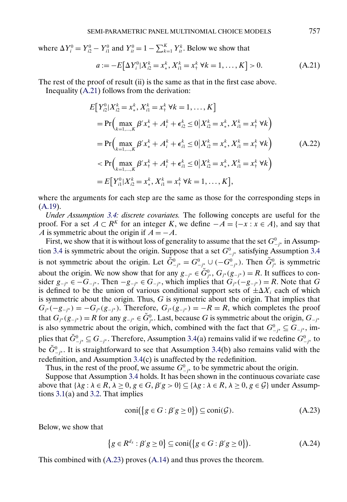<span id="page-20-0"></span>where  $\Delta Y_i^0 = Y_{i2}^0 - Y_{i1}^0$  and  $Y_{it}^0 = 1 - \sum_{k=1}^K Y_{it}^k$ . Below we show that

$$
a := -E[\Delta Y_i^0 | X_{i2}^k = x_*^k, X_{i1}^k = x_*^k \ \forall k = 1, \dots, K] > 0. \tag{A.21}
$$

The rest of the proof of result (ii) is the same as that in the first case above. Inequality (A.21) follows from the derivation:

$$
E[Y_{i2}^{0}|X_{i2}^{k} = x_{*}^{k}, X_{i1}^{k} = x_{\tau}^{k} \forall k = 1, ..., K]
$$
  
\n
$$
= Pr\Big(\max_{k=1,...,K} \beta' x_{*}^{k} + A_{i}^{k} + \epsilon_{i2}^{k} \le 0 | X_{i2}^{k} = x_{*}^{k}, X_{i1}^{k} = x_{\tau}^{k} \forall k \Big)
$$
  
\n
$$
= Pr\Big(\max_{k=1,...,K} \beta' x_{*}^{k} + A_{i}^{k} + \epsilon_{i1}^{k} \le 0 | X_{i2}^{k} = x_{*}^{k}, X_{i1}^{k} = x_{\tau}^{k} \forall k \Big)
$$
  
\n
$$
< Pr\Big(\max_{k=1,...,K} \beta' x_{\tau}^{k} + A_{i}^{k} + \epsilon_{i1}^{k} \le 0 | X_{i2}^{k} = x_{*}^{k}, X_{i1}^{k} = x_{\tau}^{k} \forall k \Big)
$$
  
\n
$$
= E[Y_{i1}^{0}|X_{i2}^{k} = x_{*}^{k}, X_{i1}^{k} = x_{\tau}^{k} \forall k = 1, ..., K],
$$

where the arguments for each step are the same as those for the corresponding steps in  $(A.19).$  $(A.19).$ 

*Under Assumption [3.4:](#page-6-0) discrete covariates.* The following concepts are useful for the proof. For a set  $A \subset \mathbb{R}^K$  for an integer K, we define  $-A = \{-x : x \in A\}$ , and say that A is symmetric about the origin if  $A = -A$ .

First, we show that it is without loss of generality to assume that the set  $G_{-j^*}^0$  in Assump-tion [3.4](#page-6-0) is symmetric about the origin. Suppose that a set  $G^0_{-j^*}$  satisfying Assumption 3.4 is not symmetric about the origin. Let  $\check{G}^0_{-j^*} = G^0_{-j^*} \cup (-G^0_{-j^*})$ . Then  $\check{G}^0_{j^*}$  is symmetric about the origin. We now show that for any  $g_{-j^*} \in \check{G}^0_{j^*}$ ,  $G_{j^*}(g_{-j^*}) = R$ . It suffices to consider  $g_{-i^*} \in -G_{-i^*}$ . Then  $-g_{-i^*} \in G_{-i^*}$ , which implies that  $G_{i^*}(-g_{-i^*}) = R$ . Note that G is defined to be the union of various conditional support sets of  $\pm \Delta X_i$  each of which is symmetric about the origin. Thus,  $G$  is symmetric about the origin. That implies that  $G_{j^*}(-g_{-j^*}) = -G_{j^*}(g_{-j^*})$ . Therefore,  $G_{j^*}(g_{-j^*}) = -R = R$ , which completes the proof that  $G_{j^*}(g_{-j^*}) = R$  for any  $g_{-j^*} \in \check{G}_{j^*}^0$ . Last, because G is symmetric about the origin,  $G_{-j^*}$ is also symmetric about the origin, which, combined with the fact that  $G_{-j^*}^0 \subseteq G_{-j^*}$ , implies that  $\check{G}^0_{-j^*} \subseteq G_{-j^*}.$  Therefore, Assumption [3.4\(](#page-6-0)a) remains valid if we redefine  $G^0_{-j^*}$  to be  $\check{G}^0_{-j^*}$ . It is straightforward to see that Assumption [3.4\(](#page-6-0)b) also remains valid with the redefinition, and Assumption [3.4\(](#page-6-0)c) is unaffected by the redefinition.

Thus, in the rest of the proof, we assume  $G^0_{-j^*}$  to be symmetric about the origin.

Suppose that Assumption [3.4](#page-6-0) holds. It has been shown in the continuous covariate case above that  $\{\lambda g : \lambda \in R, \lambda \ge 0, g \in G, \beta' g > 0\} \subseteq \{\lambda g : \lambda \in R, \lambda \ge 0, g \in G\}$  under Assumptions [3.1\(](#page-4-0)a) and [3.2.](#page-5-0) That implies

$$
coni({g \in G : \beta'g \ge 0}) \subseteq coni(\mathcal{G}).
$$
\n(A.23)

Below, we show that

$$
\{g \in R^{d_x} : \beta' g \ge 0\} \subseteq \text{coni}(\{g \in G : \beta' g \ge 0\}).\tag{A.24}
$$

This combined with (A.23) proves [\(A.14\)](#page-18-0) and thus proves the theorem.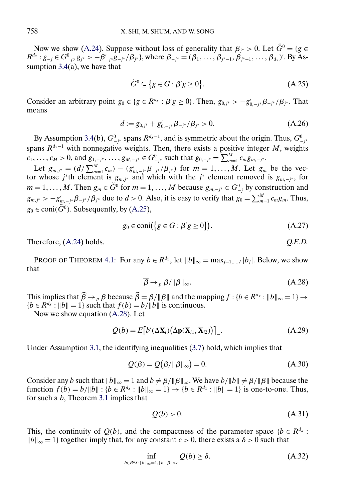<span id="page-21-0"></span>Now we show [\(A.24\)](#page-20-0). Suppose without loss of generality that  $\beta_{i^*} > 0$ . Let  $\tilde{G}^0 = \{g \in G\}$  $R^{d_x}: g_{-j} \in G^0_{-j}, g_{j^*} > -\beta'_{-j^*}g_{-j^*}/\beta_{j^*}$ , where  $\beta_{-j^*} = (\beta_1, \ldots, \beta_{j^*-1}, \beta_{j^*+1}, \ldots, \beta_{d_x})'$ . By Assumption  $3.4(a)$  $3.4(a)$ , we have that

$$
\tilde{G}^0 \subseteq \{ g \in G : \beta' g \ge 0 \}. \tag{A.25}
$$

Consider an arbitrary point  $g_0 \in \{g \in R^{d_x} : \beta'g \ge 0\}$ . Then,  $g_{0,j^*} > -g'_{0,-j^*} \beta_{-j^*}/\beta_{j^*}$ . That means

$$
d := g_{0,j^*} + g'_{0,-j^*} \beta_{-j^*} / \beta_{j^*} > 0.
$$
 (A.26)

By Assumption [3.4\(](#page-6-0)b),  $G^0_{-j^*}$  spans  $R^{d_x-1}$ , and is symmetric about the origin. Thus,  $G^0_{-j^*}$ spans  $R^{d_x-1}$  with nonnegative weights. Then, there exists a positive integer M, weights  $c_1, \ldots, c_M > 0$ , and  $g_{1, -j^*}, \ldots, g_{M, -j^*} \in G_{-j^*}^0$  such that  $g_{0, -j^*} = \sum_{m=1}^M c_m g_{m, -j^*}.$ 

Let  $g_{m,j^*} = (d/\sum_{m=1}^M c_m) - (g'_{m,-j^*} \beta_{-j^*}/\beta_{j^*})$  for  $m = 1, ..., M$ . Let  $g_m$  be the vector whose *j*\*th element is  $g_{m,j*}$  and which with the *j*\* element removed is  $g_{m,-j*}$ , for  $m = 1, \ldots, M$ . Then  $g_m \in \tilde{G}^0$  for  $m = 1, \ldots, M$  because  $g_{m, -j^*} \in G^0_{-j}$  by construction and  $g_{m,j^*} > -g'_{m,-j^*} \beta_{-j^*} / \beta_{j^*}$  due to  $d > 0$ . Also, it is easy to verify that  $g_0 = \sum_{m=1}^{M} c_m g_m$ . Thus,  $g_0 \in \text{coni}(\tilde{G}^0)$ . Subsequently, by (A.25),

$$
g_0 \in \text{coni}(\lbrace g \in G : \beta' g \ge 0 \rbrace). \tag{A.27}
$$

Therefore,  $(A.24)$  holds.  $Q.E.D.$ 

PROOF OF THEOREM [4.1:](#page-9-0) For any  $b \in R^{d_x}$ , let  $||b||_{\infty} = \max_{j=1,\dots,J} |b_j|$ . Below, we show that

$$
\overline{\beta} \to_{p} \beta / \|\beta\|_{\infty}.
$$
 (A.28)

This implies that  $\widehat{\beta} \to_{p} \beta$  because  $\widehat{\beta} = \overline{\beta}/\|\overline{\beta}\|$  and the mapping  $f : \{b \in R^{d_x} : \|b\|_{\infty} = 1\} \to$  ${b \in R^{d_x} : ||b|| = 1}$  such that  $f(b) = b/||b||$  is continuous.

Now we show equation (A.28). Let

$$
Q(b) = E\big[b'(\Delta \mathbf{X}_i) \big(\Delta \mathbf{p}(\mathbf{X}_{i1}, \mathbf{X}_{i2})\big)\big]_-\tag{A.29}
$$

Under Assumption [3.1,](#page-4-0) the identifying inequalities [\(3.7\)](#page-4-0) hold, which implies that

$$
Q(\beta) = Q(\beta/\|\beta\|_{\infty}) = 0.
$$
 (A.30)

Consider any b such that  $||b||_{\infty} = 1$  and  $b \neq \beta / ||\beta||_{\infty}$ . We have  $b / ||b|| \neq \beta / ||\beta||$  because the function  $f(b) = b/||b||$ :  $\{b \in R^{d_x} : ||b||_{\infty} = 1\} \to \{b \in R^{d_x} : ||b|| = 1\}$  is one-to-one. Thus, for such a b, Theorem [3.1](#page-7-0) implies that

$$
Q(b) > 0.\tag{A.31}
$$

This, the continuity of  $Q(b)$ , and the compactness of the parameter space { $b \in R^{d_x}$  :  $||b||_{\infty} = 1$ } together imply that, for any constant *c* > 0, there exists a δ > 0 such that

$$
\inf_{b \in R^{d_x} : \|b\|_{\infty} = 1, \|b - \beta\| > c} Q(b) \ge \delta. \tag{A.32}
$$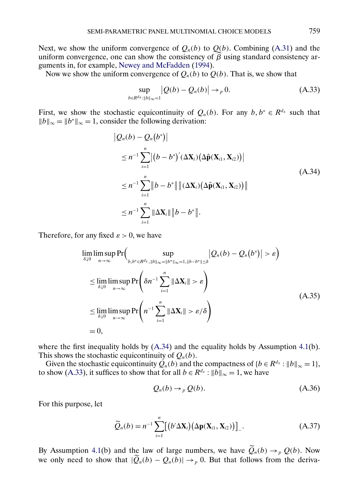<span id="page-22-0"></span>Next, we show the uniform convergence of  $Q_n(b)$  to  $Q(b)$ . Combining [\(A.31\)](#page-21-0) and the uniform convergence, one can show the consistency of  $\beta$  using standard consistency arguments in, for example, [Newey and McFadden](#page-24-0) [\(1994\)](#page-24-0).

Now we show the uniform convergence of  $Q_n(b)$  to  $Q(b)$ . That is, we show that

$$
\sup_{b \in R^{d_X} : ||b||_{\infty} = 1} |Q(b) - Q_n(b)| \to_p 0. \tag{A.33}
$$

First, we show the stochastic equicontinuity of  $Q_n(b)$ . For any  $b, b^* \in R^{d_x}$  such that  $||b||_{\infty} = ||b^*||_{\infty} = 1$ , consider the following derivation:

$$
|Q_n(b) - Q_n(b^*)|
$$
  
\n
$$
\leq n^{-1} \sum_{i=1}^n |(b - b^*)' (\Delta \mathbf{X}_i) (\Delta \hat{\mathbf{p}}(\mathbf{X}_{i1}, \mathbf{X}_{i2}))|
$$
  
\n
$$
\leq n^{-1} \sum_{i=1}^n ||b - b^*|| ||(\Delta \mathbf{X}_i) (\Delta \hat{\mathbf{p}}(\mathbf{X}_{i1}, \mathbf{X}_{i2}))||
$$
  
\n
$$
\leq n^{-1} \sum_{i=1}^n ||\Delta \mathbf{X}_i|| ||b - b^*||.
$$
\n(A.34)

Therefore, for any fixed  $\varepsilon > 0$ , we have

$$
\lim_{\delta \downarrow 0} \limsup_{n \to \infty} \Pr \Big( \sup_{b, b^* \in R^{d_x}, \|b\|_{\infty} = \|b^*\|_{\infty} = 1, \|b - b^*\| \le \delta} |Q_n(b) - Q_n(b^*)| > \varepsilon \Big)
$$
\n
$$
\leq \lim_{\delta \downarrow 0} \limsup_{n \to \infty} \Pr \Big( \delta n^{-1} \sum_{i=1}^n \|\Delta \mathbf{X}_i\| > \varepsilon \Big)
$$
\n
$$
\leq \lim_{\delta \downarrow 0} \limsup_{n \to \infty} \Pr \Big( n^{-1} \sum_{i=1}^n \|\Delta \mathbf{X}_i\| > \varepsilon/\delta \Big)
$$
\n
$$
= 0,
$$
\n(A.35)

where the first inequality holds by  $(A.34)$  and the equality holds by Assumption [4.1\(](#page-9-0)b). This shows the stochastic equicontinuity of  $Q_n(b)$ .

Given the stochastic equicontinuity  $Q_n(b)$  and the compactness of  $\{b \in R^{d_x} : ||b||_{\infty} = 1\}$ , to show (A.33), it suffices to show that for all  $b \in R^{d_x} : ||b||_{\infty} = 1$ , we have

$$
Q_n(b) \to_p Q(b). \tag{A.36}
$$

For this purpose, let

$$
\widetilde{Q}_n(b) = n^{-1} \sum_{i=1}^n \left[ \left( b' \Delta \mathbf{X}_i \right) \left( \Delta \mathbf{p}(\mathbf{X}_{i1}, \mathbf{X}_{i2}) \right) \right]_-. \tag{A.37}
$$

By Assumption [4.1\(](#page-9-0)b) and the law of large numbers, we have  $\tilde{Q}_n(b) \rightarrow_{p} Q(b)$ . Now we only need to show that  $|\widetilde{Q}_n(b) - Q_n(b)| \to_p 0$ . But that follows from the deriva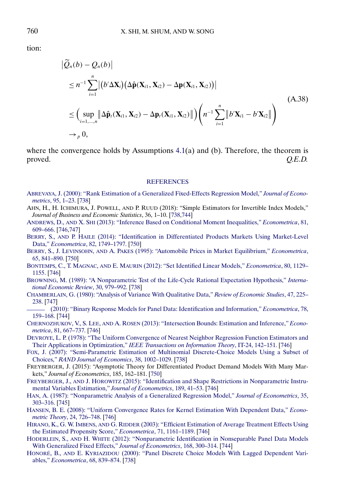<span id="page-23-0"></span>tion:

$$
\left| \widetilde{Q}_n(b) - Q_n(b) \right|
$$
\n
$$
\leq n^{-1} \sum_{i=1}^n \left| \left( b' \Delta \mathbf{X}_i \right) \left( \Delta \hat{\mathbf{p}}(\mathbf{X}_{i1}, \mathbf{X}_{i2}) - \Delta \mathbf{p}(\mathbf{X}_{i1}, \mathbf{X}_{i2}) \right) \right|
$$
\n
$$
\leq \left( \sup_{i=1,\dots,n} \left\| \Delta \hat{\mathbf{p}}_t(\mathbf{X}_{i1}, \mathbf{X}_{i2}) - \Delta \mathbf{p}_t(\mathbf{X}_{i1}, \mathbf{X}_{i2}) \right\| \right) \left( n^{-1} \sum_{i=1}^n \left\| b' \mathbf{X}_{i1} - b' \mathbf{X}_{i2} \right\| \right)
$$
\n
$$
\to_p 0,
$$
\n(A.38)

where the convergence holds by Assumptions  $4.1(a)$  $4.1(a)$  and (b). Therefore, the theorem is proved. *Q.E.D.*

#### **[REFERENCES](http://www.e-publications.org/srv/ecta/linkserver/setprefs?rfe_id=urn:sici%2F0012-9682%28201803%2986%3A2%3C737%3AESPPMC%3E2.0.CO%3B2-N)**

- [ABREVAYA, J. \(2000\): "Rank Estimation of a Generalized Fixed-Effects Regression Model,"](http://www.e-publications.org/srv/ecta/linkserver/openurl?rft_dat=bib:1/Abrevaya2000&rfe_id=urn:sici%2F0012-9682%28201803%2986%3A2%3C737%3AESPPMC%3E2.0.CO%3B2-N) *Journal of Econometrics*[, 95, 1–23.](http://www.e-publications.org/srv/ecta/linkserver/openurl?rft_dat=bib:1/Abrevaya2000&rfe_id=urn:sici%2F0012-9682%28201803%2986%3A2%3C737%3AESPPMC%3E2.0.CO%3B2-N) [\[738\]](#page-1-0)
- AHN, H., H. ICHIMURA, J. POWELL, AND P. RUUD (2018): "Simple Estimators for Invertible Index Models," *Journal of Business and Economic Statistics*, 36, 1–10. [\[738,](#page-1-0)[744\]](#page-7-0)
- ANDREWS, D., AND X. SHI [\(2013\): "Inference Based on Conditional Moment Inequalities,"](http://www.e-publications.org/srv/ecta/linkserver/openurl?rft_dat=bib:3/AndrewsShi2013&rfe_id=urn:sici%2F0012-9682%28201803%2986%3A2%3C737%3AESPPMC%3E2.0.CO%3B2-N) *Econometrica*, 81, [609–666.](http://www.e-publications.org/srv/ecta/linkserver/openurl?rft_dat=bib:3/AndrewsShi2013&rfe_id=urn:sici%2F0012-9682%28201803%2986%3A2%3C737%3AESPPMC%3E2.0.CO%3B2-N) [\[746,](#page-9-0)[747\]](#page-10-0)
- BERRY, S., AND P. HAILE [\(2014\): "Identification in Differentiated Products Markets Using Market-Level](http://www.e-publications.org/srv/ecta/linkserver/openurl?rft_dat=bib:4/BerryHaile2014&rfe_id=urn:sici%2F0012-9682%28201803%2986%3A2%3C737%3AESPPMC%3E2.0.CO%3B2-N) Data," *Econometrica*[, 82, 1749–1797.](http://www.e-publications.org/srv/ecta/linkserver/openurl?rft_dat=bib:4/BerryHaile2014&rfe_id=urn:sici%2F0012-9682%28201803%2986%3A2%3C737%3AESPPMC%3E2.0.CO%3B2-N) [\[750\]](#page-13-0)
- BERRY, S., J. LEVINSOHN, AND A. PAKES [\(1995\): "Automobile Prices in Market Equilibrium,"](http://www.e-publications.org/srv/ecta/linkserver/openurl?rft_dat=bib:5/BLP1995&rfe_id=urn:sici%2F0012-9682%28201803%2986%3A2%3C737%3AESPPMC%3E2.0.CO%3B2-N) *Econometrica*, [65, 841–890.](http://www.e-publications.org/srv/ecta/linkserver/openurl?rft_dat=bib:5/BLP1995&rfe_id=urn:sici%2F0012-9682%28201803%2986%3A2%3C737%3AESPPMC%3E2.0.CO%3B2-N) [\[750\]](#page-13-0)
- BONTEMPS, C., T. MAGNAC, AND E. MAURIN [\(2012\): "Set Identified Linear Models,"](http://www.e-publications.org/srv/ecta/linkserver/openurl?rft_dat=bib:6/BMM2012&rfe_id=urn:sici%2F0012-9682%28201803%2986%3A2%3C737%3AESPPMC%3E2.0.CO%3B2-N) *Econometrica*, 80, 1129– [1155.](http://www.e-publications.org/srv/ecta/linkserver/openurl?rft_dat=bib:6/BMM2012&rfe_id=urn:sici%2F0012-9682%28201803%2986%3A2%3C737%3AESPPMC%3E2.0.CO%3B2-N) [\[746\]](#page-9-0)
- [BROWNING, M. \(1989\): "A Nonparametric Test of the Life-Cycle Rational Expectation Hypothesis,"](http://www.e-publications.org/srv/ecta/linkserver/openurl?rft_dat=bib:7/Browning1989&rfe_id=urn:sici%2F0012-9682%28201803%2986%3A2%3C737%3AESPPMC%3E2.0.CO%3B2-N) *Interna[tional Economic Review](http://www.e-publications.org/srv/ecta/linkserver/openurl?rft_dat=bib:7/Browning1989&rfe_id=urn:sici%2F0012-9682%28201803%2986%3A2%3C737%3AESPPMC%3E2.0.CO%3B2-N)*, 30, 979–992. [\[738\]](#page-1-0)
- [CHAMBERLAIN, G. \(1980\): "Analysis of Variance With Qualitative Data,"](http://www.e-publications.org/srv/ecta/linkserver/openurl?rft_dat=bib:8/Chamberlain1980&rfe_id=urn:sici%2F0012-9682%28201803%2986%3A2%3C737%3AESPPMC%3E2.0.CO%3B2-N) *Review of Economic Studies*, 47, 225– [238.](http://www.e-publications.org/srv/ecta/linkserver/openurl?rft_dat=bib:8/Chamberlain1980&rfe_id=urn:sici%2F0012-9682%28201803%2986%3A2%3C737%3AESPPMC%3E2.0.CO%3B2-N) [\[747\]](#page-10-0)
- [\(2010\): "Binary Response Models for Panel Data: Identification and Information,"](http://www.e-publications.org/srv/ecta/linkserver/openurl?rft_dat=bib:9/Chamberlain2010&rfe_id=urn:sici%2F0012-9682%28201803%2986%3A2%3C737%3AESPPMC%3E2.0.CO%3B2-N) *Econometrica*, 78, [159–168.](http://www.e-publications.org/srv/ecta/linkserver/openurl?rft_dat=bib:9/Chamberlain2010&rfe_id=urn:sici%2F0012-9682%28201803%2986%3A2%3C737%3AESPPMC%3E2.0.CO%3B2-N) [\[744\]](#page-7-0)
- CHERNOZHUKOV, V., S. LEE, AND A. ROSEN [\(2013\): "Intersection Bounds: Estimation and Inference,"](http://www.e-publications.org/srv/ecta/linkserver/openurl?rft_dat=bib:10/ChernozhukovLeeRosen2008&rfe_id=urn:sici%2F0012-9682%28201803%2986%3A2%3C737%3AESPPMC%3E2.0.CO%3B2-N) *Econometrica*[, 81, 667–737.](http://www.e-publications.org/srv/ecta/linkserver/openurl?rft_dat=bib:10/ChernozhukovLeeRosen2008&rfe_id=urn:sici%2F0012-9682%28201803%2986%3A2%3C737%3AESPPMC%3E2.0.CO%3B2-N) [\[746\]](#page-9-0)
- [DEVROYE, L. P. \(1978\): "The Uniform Convergence of Nearest Neighbor Regression Function Estimators and](http://www.e-publications.org/srv/ecta/linkserver/openurl?rft_dat=bib:11/Devroye1978&rfe_id=urn:sici%2F0012-9682%28201803%2986%3A2%3C737%3AESPPMC%3E2.0.CO%3B2-N) Their Applications in Optimization," *[IEEE Transactions on Information Theory](http://www.e-publications.org/srv/ecta/linkserver/openurl?rft_dat=bib:11/Devroye1978&rfe_id=urn:sici%2F0012-9682%28201803%2986%3A2%3C737%3AESPPMC%3E2.0.CO%3B2-N)*, IT-24, 142–151. [\[746\]](#page-9-0)
- [FOX, J. \(2007\): "Semi-Parametric Estimation of Multinomial Discrete-Choice Models Using a Subset of](http://www.e-publications.org/srv/ecta/linkserver/openurl?rft_dat=bib:12/Fox2007&rfe_id=urn:sici%2F0012-9682%28201803%2986%3A2%3C737%3AESPPMC%3E2.0.CO%3B2-N) Choices," *[RAND Journal of Economics](http://www.e-publications.org/srv/ecta/linkserver/openurl?rft_dat=bib:12/Fox2007&rfe_id=urn:sici%2F0012-9682%28201803%2986%3A2%3C737%3AESPPMC%3E2.0.CO%3B2-N)*, 38, 1002–1029. [\[738\]](#page-1-0)
- FREYBERGER, J. (2015): "Asymptotic Theory for Differentiated Product Demand Models With Many Markets," *Journal of Econometrics*, 185, 162–181. [\[750\]](#page-13-0)
- FREYBERGER, J., AND J. HOROWITZ [\(2015\): "Identification and Shape Restrictions in Nonparametric Instru](http://www.e-publications.org/srv/ecta/linkserver/openurl?rft_dat=bib:14/FreybergerHorowitz2015&rfe_id=urn:sici%2F0012-9682%28201803%2986%3A2%3C737%3AESPPMC%3E2.0.CO%3B2-N)[mental Variables Estimation,"](http://www.e-publications.org/srv/ecta/linkserver/openurl?rft_dat=bib:14/FreybergerHorowitz2015&rfe_id=urn:sici%2F0012-9682%28201803%2986%3A2%3C737%3AESPPMC%3E2.0.CO%3B2-N) *Journal of Econometrics*, 189, 41–53. [\[746\]](#page-9-0)
- [HAN, A. \(1987\): "Nonparametric Analysis of a Generalized Regression Model,"](http://www.e-publications.org/srv/ecta/linkserver/openurl?rft_dat=bib:15/Han1987&rfe_id=urn:sici%2F0012-9682%28201803%2986%3A2%3C737%3AESPPMC%3E2.0.CO%3B2-N) *Journal of Econometrics*, 35, [303–316.](http://www.e-publications.org/srv/ecta/linkserver/openurl?rft_dat=bib:15/Han1987&rfe_id=urn:sici%2F0012-9682%28201803%2986%3A2%3C737%3AESPPMC%3E2.0.CO%3B2-N) [\[745\]](#page-8-0)
- [HANSEN, B. E. \(2008\): "Uniform Convergence Rates for Kernel Estimation With Dependent Data,"](http://www.e-publications.org/srv/ecta/linkserver/openurl?rft_dat=bib:16/Hansen2008&rfe_id=urn:sici%2F0012-9682%28201803%2986%3A2%3C737%3AESPPMC%3E2.0.CO%3B2-N) *Econometric Theory*[, 24, 726–748.](http://www.e-publications.org/srv/ecta/linkserver/openurl?rft_dat=bib:16/Hansen2008&rfe_id=urn:sici%2F0012-9682%28201803%2986%3A2%3C737%3AESPPMC%3E2.0.CO%3B2-N) [\[746\]](#page-9-0)
- HIRANO, K., G. W. IMBENS, AND G. RIDDER [\(2003\): "Efficient Estimation of Average Treatment Effects Using](http://www.e-publications.org/srv/ecta/linkserver/openurl?rft_dat=bib:17/HIR2003&rfe_id=urn:sici%2F0012-9682%28201803%2986%3A2%3C737%3AESPPMC%3E2.0.CO%3B2-N) [the Estimated Propensity Score,"](http://www.e-publications.org/srv/ecta/linkserver/openurl?rft_dat=bib:17/HIR2003&rfe_id=urn:sici%2F0012-9682%28201803%2986%3A2%3C737%3AESPPMC%3E2.0.CO%3B2-N) *Econometrica*, 71, 1161–1189. [\[746\]](#page-9-0)
- HODERLEIN, S., AND H. WHITE [\(2012\): "Nonparametric Identification in Nonseparable Panel Data Models](http://www.e-publications.org/srv/ecta/linkserver/openurl?rft_dat=bib:18/HW2012&rfe_id=urn:sici%2F0012-9682%28201803%2986%3A2%3C737%3AESPPMC%3E2.0.CO%3B2-N) [With Generalized Fixed Effects,"](http://www.e-publications.org/srv/ecta/linkserver/openurl?rft_dat=bib:18/HW2012&rfe_id=urn:sici%2F0012-9682%28201803%2986%3A2%3C737%3AESPPMC%3E2.0.CO%3B2-N) *Journal of Econometrics*, 168, 300–314. [\[744\]](#page-7-0)
- HONORÉ, B., AND E. KYRIAZIDOU [\(2000\): "Panel Discrete Choice Models With Lagged Dependent Vari](http://www.e-publications.org/srv/ecta/linkserver/openurl?rft_dat=bib:19/HonoreKyriazidou2000&rfe_id=urn:sici%2F0012-9682%28201803%2986%3A2%3C737%3AESPPMC%3E2.0.CO%3B2-N)ables," *[Econometrica](http://www.e-publications.org/srv/ecta/linkserver/openurl?rft_dat=bib:19/HonoreKyriazidou2000&rfe_id=urn:sici%2F0012-9682%28201803%2986%3A2%3C737%3AESPPMC%3E2.0.CO%3B2-N)*, 68, 839–874. [\[738\]](#page-1-0)